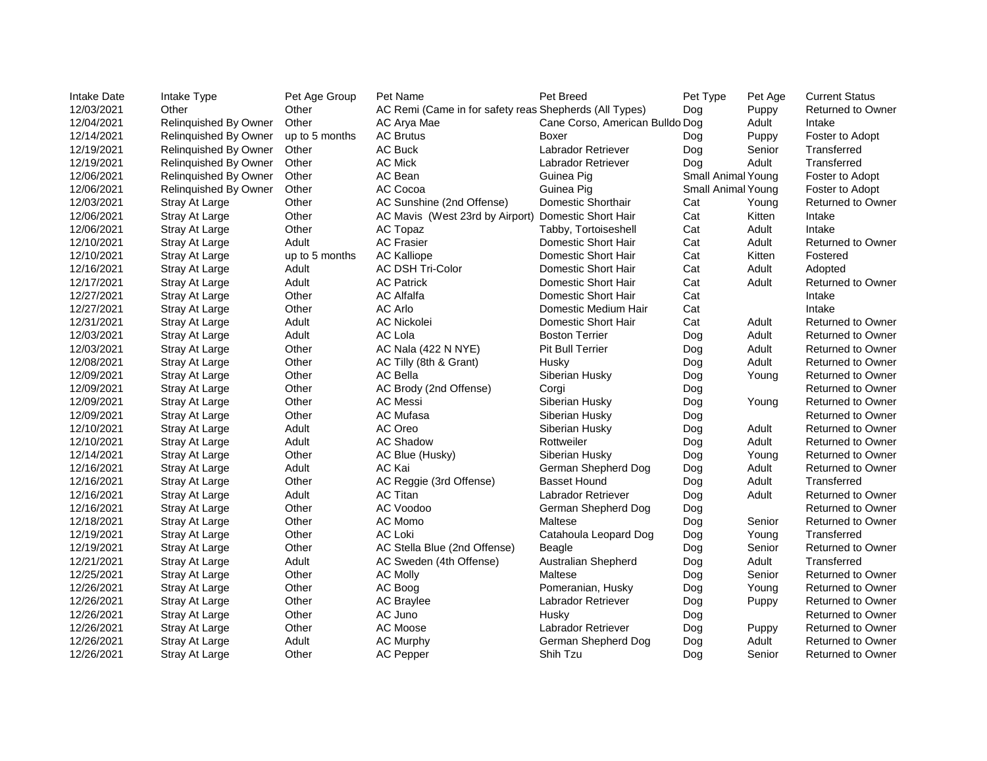| <b>Intake Date</b> | Intake Type                  | Pet Age Group  | Pet Name                                               | Pet Breed                       | Pet Type                  | Pet Age | <b>Current Status</b>    |
|--------------------|------------------------------|----------------|--------------------------------------------------------|---------------------------------|---------------------------|---------|--------------------------|
| 12/03/2021         | Other                        | Other          | AC Remi (Came in for safety reas Shepherds (All Types) |                                 | Dog                       | Puppy   | <b>Returned to Owner</b> |
| 12/04/2021         | <b>Relinquished By Owner</b> | Other          | AC Arya Mae                                            | Cane Corso, American Bulldo Dog |                           | Adult   | Intake                   |
| 12/14/2021         | Relinquished By Owner        | up to 5 months | <b>AC Brutus</b>                                       | Boxer                           | Dog                       | Puppy   | Foster to Adopt          |
| 12/19/2021         | Relinquished By Owner        | Other          | <b>AC Buck</b>                                         | Labrador Retriever              | Dog                       | Senior  | Transferred              |
| 12/19/2021         | Relinquished By Owner        | Other          | <b>AC Mick</b>                                         | Labrador Retriever              | Dog                       | Adult   | Transferred              |
| 12/06/2021         | Relinquished By Owner        | Other          | AC Bean                                                | Guinea Pig                      | <b>Small Animal Young</b> |         | Foster to Adopt          |
| 12/06/2021         | Relinquished By Owner        | Other          | AC Cocoa                                               | Guinea Pig                      | <b>Small Animal Young</b> |         | Foster to Adopt          |
| 12/03/2021         | <b>Stray At Large</b>        | Other          | AC Sunshine (2nd Offense)                              | <b>Domestic Shorthair</b>       | Cat                       | Young   | Returned to Owner        |
| 12/06/2021         | Stray At Large               | Other          | AC Mavis (West 23rd by Airport)                        | <b>Domestic Short Hair</b>      | Cat                       | Kitten  | Intake                   |
| 12/06/2021         | <b>Stray At Large</b>        | Other          | AC Topaz                                               | Tabby, Tortoiseshell            | Cat                       | Adult   | Intake                   |
| 12/10/2021         | <b>Stray At Large</b>        | Adult          | <b>AC Frasier</b>                                      | <b>Domestic Short Hair</b>      | Cat                       | Adult   | <b>Returned to Owner</b> |
| 12/10/2021         | <b>Stray At Large</b>        | up to 5 months | <b>AC Kalliope</b>                                     | <b>Domestic Short Hair</b>      | Cat                       | Kitten  | Fostered                 |
| 12/16/2021         | <b>Stray At Large</b>        | Adult          | <b>AC DSH Tri-Color</b>                                | <b>Domestic Short Hair</b>      | Cat                       | Adult   | Adopted                  |
| 12/17/2021         | <b>Stray At Large</b>        | Adult          | <b>AC Patrick</b>                                      | <b>Domestic Short Hair</b>      | Cat                       | Adult   | <b>Returned to Owner</b> |
| 12/27/2021         | <b>Stray At Large</b>        | Other          | <b>AC Alfalfa</b>                                      | <b>Domestic Short Hair</b>      | Cat                       |         | Intake                   |
| 12/27/2021         | <b>Stray At Large</b>        | Other          | <b>AC Arlo</b>                                         | Domestic Medium Hair            | Cat                       |         | Intake                   |
| 12/31/2021         | <b>Stray At Large</b>        | Adult          | <b>AC Nickolei</b>                                     | <b>Domestic Short Hair</b>      | Cat                       | Adult   | <b>Returned to Owner</b> |
| 12/03/2021         | <b>Stray At Large</b>        | Adult          | <b>AC Lola</b>                                         | <b>Boston Terrier</b>           | Dog                       | Adult   | <b>Returned to Owner</b> |
| 12/03/2021         | <b>Stray At Large</b>        | Other          | AC Nala (422 N NYE)                                    | <b>Pit Bull Terrier</b>         | Dog                       | Adult   | <b>Returned to Owner</b> |
| 12/08/2021         | <b>Stray At Large</b>        | Other          | AC Tilly (8th & Grant)                                 | Husky                           | Dog                       | Adult   | <b>Returned to Owner</b> |
| 12/09/2021         | Stray At Large               | Other          | <b>AC Bella</b>                                        | Siberian Husky                  | Dog                       | Young   | <b>Returned to Owner</b> |
| 12/09/2021         | <b>Stray At Large</b>        | Other          | AC Brody (2nd Offense)                                 | Corgi                           | Dog                       |         | <b>Returned to Owner</b> |
| 12/09/2021         | <b>Stray At Large</b>        | Other          | <b>AC Messi</b>                                        | Siberian Husky                  | Dog                       | Young   | <b>Returned to Owner</b> |
| 12/09/2021         | <b>Stray At Large</b>        | Other          | <b>AC Mufasa</b>                                       | Siberian Husky                  | Dog                       |         | <b>Returned to Owner</b> |
| 12/10/2021         | Stray At Large               | Adult          | AC Oreo                                                | Siberian Husky                  | Dog                       | Adult   | <b>Returned to Owner</b> |
| 12/10/2021         | <b>Stray At Large</b>        | Adult          | <b>AC Shadow</b>                                       | Rottweiler                      | Dog                       | Adult   | <b>Returned to Owner</b> |
| 12/14/2021         | <b>Stray At Large</b>        | Other          | AC Blue (Husky)                                        | Siberian Husky                  | Dog                       | Young   | <b>Returned to Owner</b> |
| 12/16/2021         | <b>Stray At Large</b>        | Adult          | <b>AC Kai</b>                                          | German Shepherd Dog             | Dog                       | Adult   | <b>Returned to Owner</b> |
| 12/16/2021         | Stray At Large               | Other          | AC Reggie (3rd Offense)                                | <b>Basset Hound</b>             | Dog                       | Adult   | Transferred              |
| 12/16/2021         | <b>Stray At Large</b>        | Adult          | <b>AC Titan</b>                                        | Labrador Retriever              | Dog                       | Adult   | <b>Returned to Owner</b> |
| 12/16/2021         | <b>Stray At Large</b>        | Other          | <b>AC Voodoo</b>                                       | German Shepherd Dog             | Dog                       |         | <b>Returned to Owner</b> |
| 12/18/2021         | <b>Stray At Large</b>        | Other          | AC Momo                                                | Maltese                         | Dog                       | Senior  | <b>Returned to Owner</b> |
| 12/19/2021         | <b>Stray At Large</b>        | Other          | <b>AC Loki</b>                                         | Catahoula Leopard Dog           | Dog                       | Young   | Transferred              |
| 12/19/2021         | <b>Stray At Large</b>        | Other          | AC Stella Blue (2nd Offense)                           | <b>Beagle</b>                   | Dog                       | Senior  | <b>Returned to Owner</b> |
| 12/21/2021         | <b>Stray At Large</b>        | Adult          | AC Sweden (4th Offense)                                | <b>Australian Shepherd</b>      | Dog                       | Adult   | Transferred              |
| 12/25/2021         | Stray At Large               | Other          | <b>AC Molly</b>                                        | Maltese                         | Dog                       | Senior  | <b>Returned to Owner</b> |
| 12/26/2021         | <b>Stray At Large</b>        | Other          | AC Boog                                                | Pomeranian, Husky               | Dog                       | Young   | <b>Returned to Owner</b> |
| 12/26/2021         | <b>Stray At Large</b>        | Other          | <b>AC Braylee</b>                                      | Labrador Retriever              | Dog                       | Puppy   | <b>Returned to Owner</b> |
| 12/26/2021         | <b>Stray At Large</b>        | Other          | AC Juno                                                | Husky                           | Dog                       |         | <b>Returned to Owner</b> |
| 12/26/2021         | Stray At Large               | Other          | <b>AC Moose</b>                                        | Labrador Retriever              | Dog                       | Puppy   | <b>Returned to Owner</b> |
| 12/26/2021         | <b>Stray At Large</b>        | Adult          | <b>AC Murphy</b>                                       | German Shepherd Dog             | Dog                       | Adult   | <b>Returned to Owner</b> |
| 12/26/2021         | <b>Stray At Large</b>        | Other          | <b>AC Pepper</b>                                       | Shih Tzu                        | Dog                       | Senior  | <b>Returned to Owner</b> |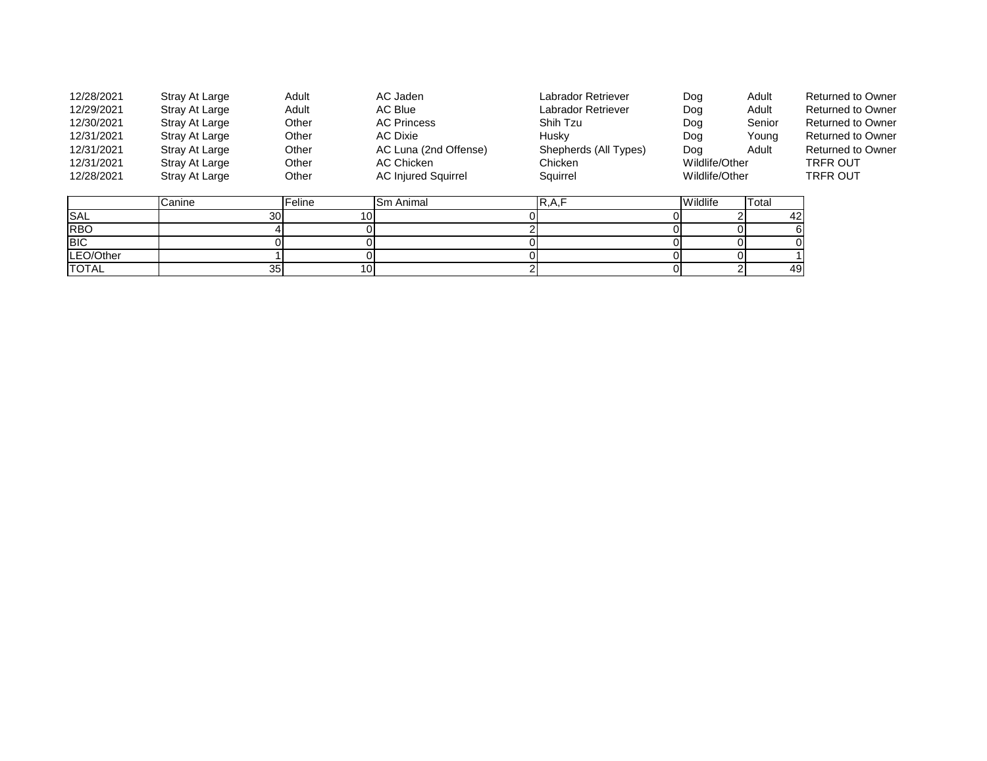| 12/28/2021   | Stray At Large  | Adult           | AC Jaden                   | Labrador Retriever    | Dog            | Adult  | <b>Returned to Owner</b> |
|--------------|-----------------|-----------------|----------------------------|-----------------------|----------------|--------|--------------------------|
| 12/29/2021   | Stray At Large  | Adult           | AC Blue                    | Labrador Retriever    | Dog            | Adult  | <b>Returned to Owner</b> |
| 12/30/2021   | Stray At Large  | Other           | <b>AC Princess</b>         | Shih Tzu              | Dog            | Senior | <b>Returned to Owner</b> |
| 12/31/2021   | Stray At Large  | Other           | <b>AC Dixie</b>            | Husky                 | Dog            | Young  | <b>Returned to Owner</b> |
| 12/31/2021   | Stray At Large  | Other           | AC Luna (2nd Offense)      | Shepherds (All Types) | Dog            | Adult  | <b>Returned to Owner</b> |
| 12/31/2021   | Stray At Large  | Other           | <b>AC Chicken</b>          | Chicken               | Wildlife/Other |        | <b>TRFR OUT</b>          |
| 12/28/2021   | Stray At Large  | Other           | <b>AC Injured Squirrel</b> | Squirrel              | Wildlife/Other |        | <b>TRFR OUT</b>          |
|              |                 |                 |                            |                       |                |        |                          |
|              | Canine          | Feline          | <b>Sm Animal</b>           | R, A, F               | Wildlife       | Total  |                          |
| <b>SAL</b>   | 30 <sup>1</sup> |                 |                            |                       |                | 42     |                          |
| <b>RBO</b>   |                 |                 |                            |                       |                |        |                          |
| <b>BIC</b>   |                 |                 |                            |                       |                |        |                          |
| LEO/Other    |                 |                 |                            |                       |                |        |                          |
| <b>TOTAL</b> | 35              | 10 <sub>1</sub> |                            |                       |                | 49     |                          |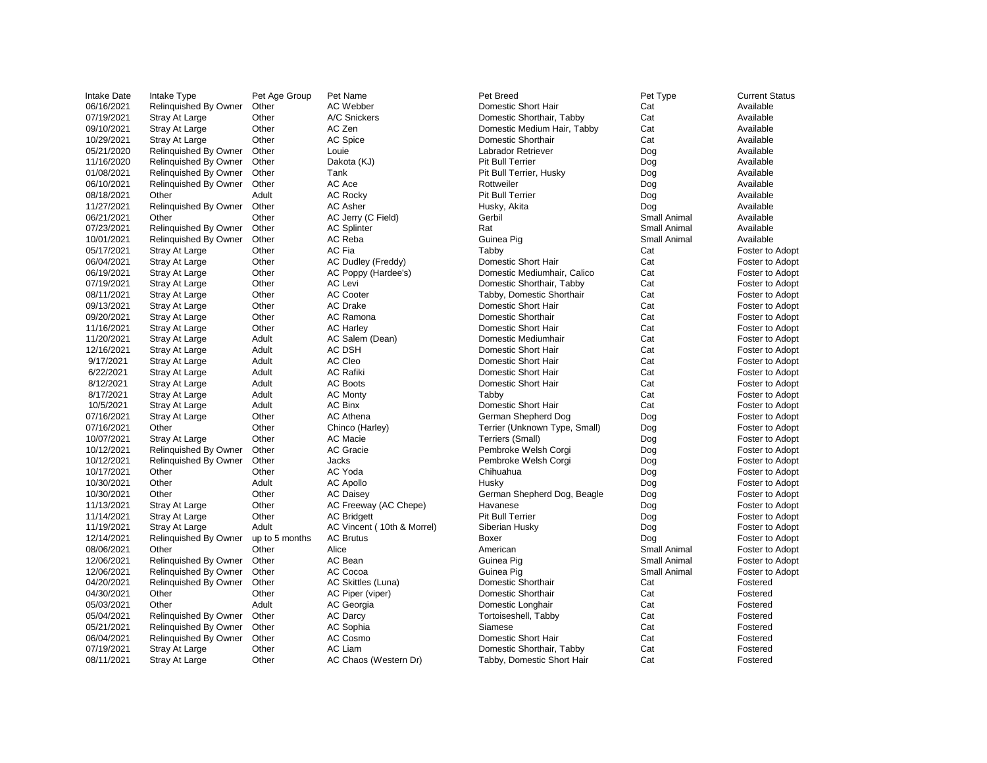| <b>Intake Date</b> | Intake Type                  | Pet Age Group  | Pet Name                   | Pet Breed                     | Pet Type            | <b>Current Status</b>  |
|--------------------|------------------------------|----------------|----------------------------|-------------------------------|---------------------|------------------------|
| 06/16/2021         | Relinquished By Owner        | Other          | AC Webber                  | Domestic Short Hair           | Cat                 | Available              |
| 07/19/2021         | Stray At Large               | Other          | A/C Snickers               | Domestic Shorthair, Tabby     | Cat                 | Available              |
| 09/10/2021         | Stray At Large               | Other          | AC Zen                     | Domestic Medium Hair, Tabby   | Cat                 | Available              |
| 10/29/2021         | Stray At Large               | Other          | <b>AC Spice</b>            | <b>Domestic Shorthair</b>     | Cat                 | Available              |
| 05/21/2020         | <b>Relinquished By Owner</b> | Other          | Louie                      | Labrador Retriever            | Dog                 | Available              |
| 11/16/2020         | <b>Relinquished By Owner</b> | Other          | Dakota (KJ)                | <b>Pit Bull Terrier</b>       | Dog                 | Available              |
| 01/08/2021         | <b>Relinquished By Owner</b> | Other          | Tank                       | Pit Bull Terrier, Husky       | Dog                 | Available              |
| 06/10/2021         | <b>Relinquished By Owner</b> | Other          | AC Ace                     | Rottweiler                    | Dog                 | Available              |
| 08/18/2021         | Other                        | Adult          | <b>AC Rocky</b>            | <b>Pit Bull Terrier</b>       | Dog                 | Available              |
| 11/27/2021         | <b>Relinquished By Owner</b> | Other          | <b>AC Asher</b>            | Husky, Akita                  | Dog                 | Available              |
| 06/21/2021         | Other                        | Other          | AC Jerry (C Field)         | Gerbil                        | <b>Small Animal</b> | Available              |
| 07/23/2021         | <b>Relinquished By Owner</b> | Other          | <b>AC Splinter</b>         | Rat                           | Small Animal        | Available              |
| 10/01/2021         | <b>Relinquished By Owner</b> | Other          | AC Reba                    | Guinea Pig                    | <b>Small Animal</b> | Available              |
| 05/17/2021         | <b>Stray At Large</b>        | Other          | AC Fia                     | Tabby                         | Cat                 | Foster to Adopt        |
| 06/04/2021         | <b>Stray At Large</b>        | Other          | AC Dudley (Freddy)         | <b>Domestic Short Hair</b>    | Cat                 | Foster to Adopt        |
| 06/19/2021         | <b>Stray At Large</b>        | Other          | AC Poppy (Hardee's)        | Domestic Mediumhair, Calico   | Cat                 | Foster to Adopt        |
| 07/19/2021         | Stray At Large               | Other          | <b>AC Levi</b>             | Domestic Shorthair, Tabby     | Cat                 | Foster to Adopt        |
| 08/11/2021         | Stray At Large               | Other          | <b>AC Cooter</b>           | Tabby, Domestic Shorthair     | Cat                 | Foster to Adopt        |
| 09/13/2021         | <b>Stray At Large</b>        | Other          | <b>AC Drake</b>            | Domestic Short Hair           | Cat                 | <b>Foster to Adopt</b> |
| 09/20/2021         | <b>Stray At Large</b>        | Other          | AC Ramona                  | <b>Domestic Shorthair</b>     | Cat                 | Foster to Adopt        |
| 11/16/2021         | Stray At Large               | Other          | <b>AC Harley</b>           | Domestic Short Hair           | Cat                 | Foster to Adopt        |
| 11/20/2021         | Stray At Large               | Adult          | AC Salem (Dean)            | Domestic Mediumhair           | Cat                 | Foster to Adopt        |
| 12/16/2021         | <b>Stray At Large</b>        | Adult          | AC DSH                     | Domestic Short Hair           | Cat                 | Foster to Adopt        |
| 9/17/2021          | <b>Stray At Large</b>        | Adult          | AC Cleo                    | Domestic Short Hair           | Cat                 | Foster to Adopt        |
| 6/22/2021          | <b>Stray At Large</b>        | Adult          | <b>AC Rafiki</b>           | Domestic Short Hair           | Cat                 | Foster to Adopt        |
| 8/12/2021          | <b>Stray At Large</b>        | Adult          | <b>AC Boots</b>            | Domestic Short Hair           | Cat                 | Foster to Adopt        |
| 8/17/2021          | <b>Stray At Large</b>        | Adult          | <b>AC Monty</b>            | Tabby                         | Cat                 | Foster to Adopt        |
| 10/5/2021          | Stray At Large               | Adult          | <b>AC Binx</b>             | Domestic Short Hair           | Cat                 | Foster to Adopt        |
| 07/16/2021         | <b>Stray At Large</b>        | Other          | <b>AC Athena</b>           | German Shepherd Dog           | Dog                 | Foster to Adopt        |
| 07/16/2021         | Other                        | Other          | Chinco (Harley)            | Terrier (Unknown Type, Small) | Dog                 | Foster to Adopt        |
| 10/07/2021         | <b>Stray At Large</b>        | Other          | <b>AC Macie</b>            | Terriers (Small)              | Dog                 | Foster to Adopt        |
| 10/12/2021         | Relinquished By Owner        | Other          | <b>AC Gracie</b>           | Pembroke Welsh Corgi          | Dog                 | <b>Foster to Adopt</b> |
| 10/12/2021         | <b>Relinquished By Owner</b> | Other          | <b>Jacks</b>               | Pembroke Welsh Corgi          | Dog                 | <b>Foster to Adopt</b> |
| 10/17/2021         | Other                        | Other          | AC Yoda                    | Chihuahua                     | Dog                 | Foster to Adopt        |
| 10/30/2021         | Other                        | Adult          | <b>AC Apollo</b>           | Husky                         | Dog                 | Foster to Adopt        |
| 10/30/2021         | Other                        | Other          | <b>AC Daisey</b>           | German Shepherd Dog, Beagle   | Dog                 | Foster to Adopt        |
| 11/13/2021         | Stray At Large               | Other          | AC Freeway (AC Chepe)      | Havanese                      | Dog                 | Foster to Adopt        |
| 11/14/2021         | <b>Stray At Large</b>        | Other          | <b>AC Bridgett</b>         | <b>Pit Bull Terrier</b>       | Dog                 | Foster to Adopt        |
| 11/19/2021         | Stray At Large               | Adult          | AC Vincent (10th & Morrel) | Siberian Husky                | Dog                 | Foster to Adopt        |
| 12/14/2021         | <b>Relinquished By Owner</b> | up to 5 months | <b>AC Brutus</b>           | <b>Boxer</b>                  | Dog                 | Foster to Adopt        |
| 08/06/2021         | Other                        | Other          | Alice                      | American                      | <b>Small Animal</b> | Foster to Adopt        |
| 12/06/2021         | <b>Relinquished By Owner</b> | Other          | AC Bean                    | Guinea Pig                    | Small Animal        | Foster to Adopt        |
| 12/06/2021         | <b>Relinquished By Owner</b> | Other          | AC Cocoa                   | Guinea Pig                    | Small Animal        | Foster to Adopt        |
| 04/20/2021         | <b>Relinquished By Owner</b> | Other          | AC Skittles (Luna)         | <b>Domestic Shorthair</b>     | Cat                 | Fostered               |
| 04/30/2021         | Other                        | Other          | AC Piper (viper)           | <b>Domestic Shorthair</b>     | Cat                 | Fostered               |
| 05/03/2021         | Other                        | Adult          | AC Georgia                 | Domestic Longhair             | Cat                 | Fostered               |
| 05/04/2021         | <b>Relinquished By Owner</b> | Other          | <b>AC Darcy</b>            | Tortoiseshell, Tabby          | Cat                 | Fostered               |
| 05/21/2021         | <b>Relinquished By Owner</b> | Other          | AC Sophia                  | Siamese                       | Cat                 | Fostered               |
| 06/04/2021         | <b>Relinquished By Owner</b> | Other          | AC Cosmo                   | <b>Domestic Short Hair</b>    | Cat                 | Fostered               |
| 07/19/2021         | Stray At Large               | Other          | AC Liam                    | Domestic Shorthair, Tabby     | Cat                 | Fostered               |
| 08/11/2021         | <b>Stray At Large</b>        | Other          | AC Chaos (Western Dr)      | Tabby, Domestic Short Hair    | Cat                 | Fostered               |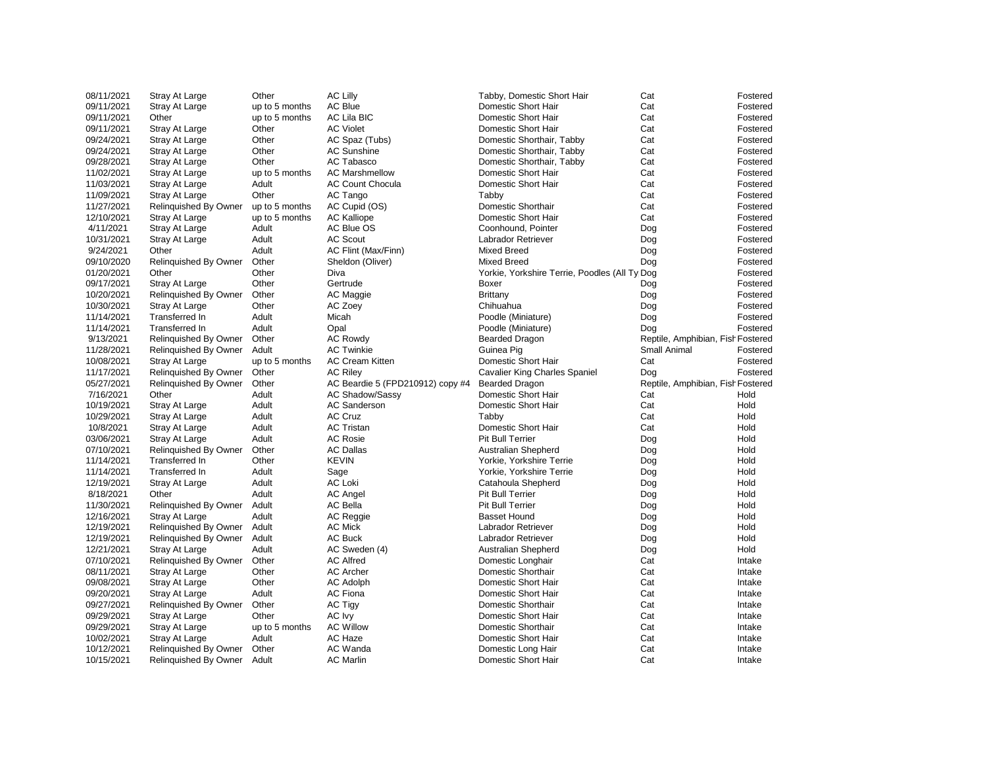| 08/11/2021 | <b>Stray At Large</b>        | Other          | <b>AC Lilly</b>                  | Tabby, Domestic Short Hair                    | Cat                               | Fostered |
|------------|------------------------------|----------------|----------------------------------|-----------------------------------------------|-----------------------------------|----------|
| 09/11/2021 | <b>Stray At Large</b>        | up to 5 months | <b>AC Blue</b>                   | Domestic Short Hair                           | Cat                               | Fostered |
| 09/11/2021 | Other                        | up to 5 months | <b>AC Lila BIC</b>               | Domestic Short Hair                           | Cat                               | Fostered |
| 09/11/2021 | <b>Stray At Large</b>        | Other          | <b>AC Violet</b>                 | <b>Domestic Short Hair</b>                    | Cat                               | Fostered |
| 09/24/2021 | <b>Stray At Large</b>        | Other          | AC Spaz (Tubs)                   | Domestic Shorthair, Tabby                     | Cat                               | Fostered |
| 09/24/2021 | Stray At Large               | Other          | <b>AC Sunshine</b>               | Domestic Shorthair, Tabby                     | Cat                               | Fostered |
| 09/28/2021 | <b>Stray At Large</b>        | Other          | AC Tabasco                       | Domestic Shorthair, Tabby                     | Cat                               | Fostered |
| 11/02/2021 | <b>Stray At Large</b>        | up to 5 months | <b>AC Marshmellow</b>            | Domestic Short Hair                           | Cat                               | Fostered |
| 11/03/2021 | <b>Stray At Large</b>        | Adult          | <b>AC Count Chocula</b>          | Domestic Short Hair                           | Cat                               | Fostered |
| 11/09/2021 | <b>Stray At Large</b>        | Other          | AC Tango                         | Tabby                                         | Cat                               | Fostered |
| 11/27/2021 | <b>Relinquished By Owner</b> | up to 5 months | AC Cupid (OS)                    | Domestic Shorthair                            | Cat                               | Fostered |
| 12/10/2021 | <b>Stray At Large</b>        | up to 5 months | <b>AC Kalliope</b>               | Domestic Short Hair                           | Cat                               | Fostered |
| 4/11/2021  | <b>Stray At Large</b>        | Adult          | <b>AC Blue OS</b>                | Coonhound, Pointer                            | Dog                               | Fostered |
| 10/31/2021 | <b>Stray At Large</b>        | Adult          | <b>AC Scout</b>                  | Labrador Retriever                            | Dog                               | Fostered |
| 9/24/2021  | Other                        | Adult          | AC Flint (Max/Finn)              | <b>Mixed Breed</b>                            | Dog                               | Fostered |
| 09/10/2020 | <b>Relinquished By Owner</b> | Other          | Sheldon (Oliver)                 | <b>Mixed Breed</b>                            | Dog                               | Fostered |
| 01/20/2021 | Other                        | Other          | Diva                             | Yorkie, Yorkshire Terrie, Poodles (All Ty Dog |                                   | Fostered |
| 09/17/2021 | Stray At Large               | Other          | Gertrude                         | <b>Boxer</b>                                  | Dog                               | Fostered |
| 10/20/2021 | <b>Relinquished By Owner</b> | Other          | AC Maggie                        | <b>Brittany</b>                               | Dog                               | Fostered |
| 10/30/2021 | <b>Stray At Large</b>        | Other          | AC Zoey                          | Chihuahua                                     | Dog                               | Fostered |
| 11/14/2021 | Transferred In               | Adult          | Micah                            | Poodle (Miniature)                            | Dog                               | Fostered |
| 11/14/2021 | Transferred In               | Adult          | Opal                             | Poodle (Miniature)                            | Dog                               | Fostered |
| 9/13/2021  | <b>Relinquished By Owner</b> | Other          | <b>AC Rowdy</b>                  | <b>Bearded Dragon</b>                         | Reptile, Amphibian, Fish Fostered |          |
| 11/28/2021 | Relinquished By Owner        | Adult          | <b>AC Twinkie</b>                | Guinea Pig                                    | <b>Small Animal</b>               | Fostered |
| 10/08/2021 | <b>Stray At Large</b>        | up to 5 months | <b>AC Cream Kitten</b>           | Domestic Short Hair                           | Cat                               | Fostered |
| 11/17/2021 | <b>Relinquished By Owner</b> | Other          | <b>AC Riley</b>                  | <b>Cavalier King Charles Spaniel</b>          | Dog                               | Fostered |
| 05/27/2021 | <b>Relinquished By Owner</b> | Other          | AC Beardie 5 (FPD210912) copy #4 | <b>Bearded Dragon</b>                         | Reptile, Amphibian, Fish Fostered |          |
| 7/16/2021  | Other                        | Adult          | <b>AC Shadow/Sassy</b>           | Domestic Short Hair                           | Cat                               | Hold     |
| 10/19/2021 | <b>Stray At Large</b>        | Adult          | <b>AC Sanderson</b>              | Domestic Short Hair                           | Cat                               | Hold     |
| 10/29/2021 | <b>Stray At Large</b>        | Adult          | <b>AC Cruz</b>                   | Tabby                                         | Cat                               | Hold     |
| 10/8/2021  | <b>Stray At Large</b>        | Adult          | <b>AC Tristan</b>                | <b>Domestic Short Hair</b>                    | Cat                               | Hold     |
| 03/06/2021 | <b>Stray At Large</b>        | Adult          | <b>AC Rosie</b>                  | <b>Pit Bull Terrier</b>                       | Dog                               | Hold     |
| 07/10/2021 | Relinquished By Owner        | Other          | <b>AC Dallas</b>                 | <b>Australian Shepherd</b>                    | Dog                               | Hold     |
| 11/14/2021 | Transferred In               | Other          | <b>KEVIN</b>                     | Yorkie, Yorkshire Terrie                      | Dog                               | Hold     |
| 11/14/2021 | Transferred In               | Adult          | Sage                             | Yorkie, Yorkshire Terrie                      | Dog                               | Hold     |
| 12/19/2021 | <b>Stray At Large</b>        | Adult          | <b>AC Loki</b>                   | Catahoula Shepherd                            | Dog                               | Hold     |
| 8/18/2021  | Other                        | Adult          | <b>AC Angel</b>                  | <b>Pit Bull Terrier</b>                       | Dog                               | Hold     |
| 11/30/2021 | <b>Relinquished By Owner</b> | Adult          | <b>AC Bella</b>                  | <b>Pit Bull Terrier</b>                       | Dog                               | Hold     |
| 12/16/2021 | <b>Stray At Large</b>        | Adult          | AC Reggie                        | <b>Basset Hound</b>                           | Dog                               | Hold     |
| 12/19/2021 | Relinquished By Owner        | Adult          | <b>AC Mick</b>                   | Labrador Retriever                            | Dog                               | Hold     |
| 12/19/2021 | Relinquished By Owner        | Adult          | <b>AC Buck</b>                   | Labrador Retriever                            | Dog                               | Hold     |
| 12/21/2021 | <b>Stray At Large</b>        | Adult          | AC Sweden (4)                    | Australian Shepherd                           | Dog                               | Hold     |
| 07/10/2021 | <b>Relinquished By Owner</b> | Other          | <b>AC Alfred</b>                 | Domestic Longhair                             | Cat                               | Intake   |
| 08/11/2021 | Stray At Large               | Other          | <b>AC Archer</b>                 | Domestic Shorthair                            | Cat                               | Intake   |
| 09/08/2021 | <b>Stray At Large</b>        | Other          | <b>AC Adolph</b>                 | Domestic Short Hair                           | Cat                               | Intake   |
| 09/20/2021 | <b>Stray At Large</b>        | Adult          | <b>AC Fiona</b>                  | Domestic Short Hair                           | Cat                               | Intake   |
| 09/27/2021 | <b>Relinquished By Owner</b> | Other          | <b>AC Tigy</b>                   | Domestic Shorthair                            | Cat                               | Intake   |
| 09/29/2021 | <b>Stray At Large</b>        | Other          | AC Ivy                           | Domestic Short Hair                           | Cat                               | Intake   |
| 09/29/2021 | <b>Stray At Large</b>        | up to 5 months | <b>AC Willow</b>                 | Domestic Shorthair                            | Cat                               | Intake   |
| 10/02/2021 | <b>Stray At Large</b>        | Adult          | AC Haze                          | Domestic Short Hair                           | Cat                               | Intake   |
| 10/12/2021 | Relinquished By Owner        | Other          | AC Wanda                         | Domestic Long Hair                            | Cat                               | Intake   |
| 10/15/2021 | Relinquished By Owner        | Adult          | <b>AC Marlin</b>                 | Domestic Short Hair                           | Cat                               | Intake   |
|            |                              |                |                                  |                                               |                                   |          |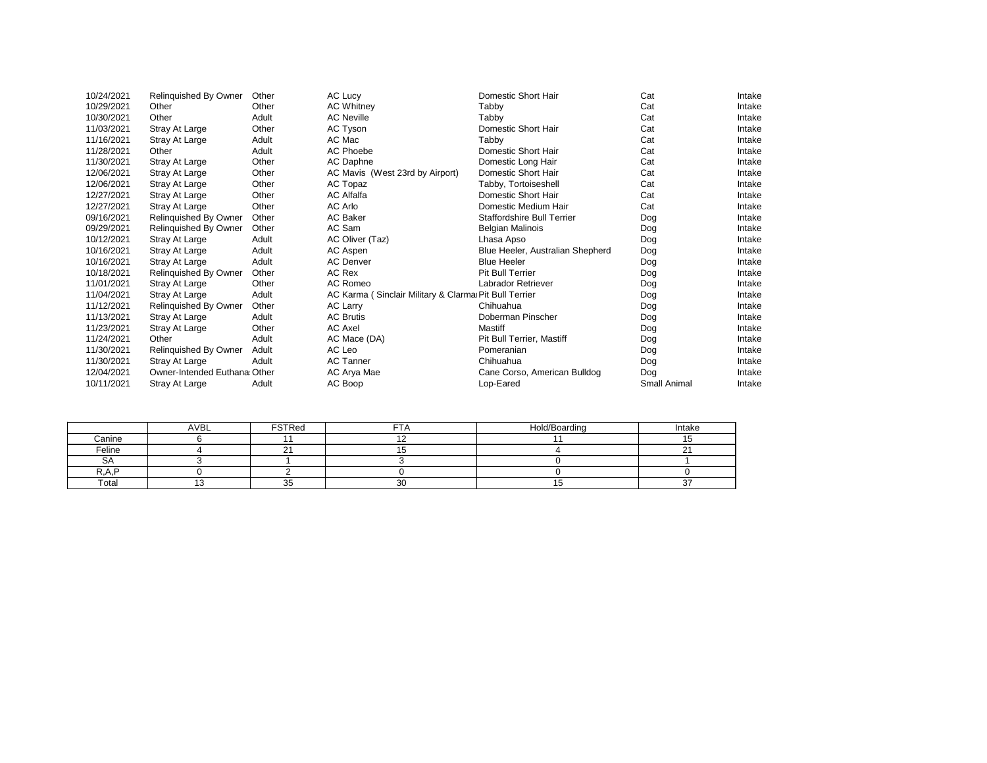| 10/24/2021 | Relinquished By Owner         | Other | AC Lucy                                               | Domestic Short Hair               | Cat                 | Intake |
|------------|-------------------------------|-------|-------------------------------------------------------|-----------------------------------|---------------------|--------|
| 10/29/2021 | Other                         | Other | <b>AC Whitney</b>                                     | Tabby                             | Cat                 | Intake |
| 10/30/2021 | Other                         | Adult | <b>AC Neville</b>                                     | Tabby                             | Cat                 | Intake |
| 11/03/2021 | Stray At Large                | Other | AC Tyson                                              | Domestic Short Hair               | Cat                 | Intake |
| 11/16/2021 | <b>Stray At Large</b>         | Adult | AC Mac                                                | Tabby                             | Cat                 | Intake |
| 11/28/2021 | Other                         | Adult | <b>AC Phoebe</b>                                      | Domestic Short Hair               | Cat                 | Intake |
| 11/30/2021 | Stray At Large                | Other | AC Daphne                                             | Domestic Long Hair                | Cat                 | Intake |
| 12/06/2021 | Stray At Large                | Other | AC Mavis (West 23rd by Airport)                       | Domestic Short Hair               | Cat                 | Intake |
| 12/06/2021 | Stray At Large                | Other | AC Topaz                                              | Tabby, Tortoiseshell              | Cat                 | Intake |
| 12/27/2021 | Stray At Large                | Other | <b>AC Alfalfa</b>                                     | <b>Domestic Short Hair</b>        | Cat                 | Intake |
| 12/27/2021 | Stray At Large                | Other | AC Arlo                                               | Domestic Medium Hair              | Cat                 | Intake |
| 09/16/2021 | Relinquished By Owner         | Other | <b>AC Baker</b>                                       | <b>Staffordshire Bull Terrier</b> | Dog                 | Intake |
| 09/29/2021 | Relinquished By Owner         | Other | AC Sam                                                | <b>Belgian Malinois</b>           | Dog                 | Intake |
| 10/12/2021 | Stray At Large                | Adult | AC Oliver (Taz)                                       | Lhasa Apso                        | <b>Dog</b>          | Intake |
| 10/16/2021 | Stray At Large                | Adult | AC Aspen                                              | Blue Heeler, Australian Shepherd  | Dog                 | Intake |
| 10/16/2021 | Stray At Large                | Adult | <b>AC Denver</b>                                      | <b>Blue Heeler</b>                | <b>Dog</b>          | Intake |
| 10/18/2021 | Relinquished By Owner         | Other | AC Rex                                                | <b>Pit Bull Terrier</b>           | <b>Dog</b>          | Intake |
| 11/01/2021 | Stray At Large                | Other | AC Romeo                                              | Labrador Retriever                | <b>Dog</b>          | Intake |
| 11/04/2021 | Stray At Large                | Adult | AC Karma (Sinclair Military & Clarma Pit Bull Terrier |                                   | <b>Dog</b>          | Intake |
| 11/12/2021 | Relinquished By Owner         | Other | <b>AC Larry</b>                                       | Chihuahua                         | Dog                 | Intake |
| 11/13/2021 | Stray At Large                | Adult | <b>AC Brutis</b>                                      | Doberman Pinscher                 | <b>Dog</b>          | Intake |
| 11/23/2021 | Stray At Large                | Other | AC Axel                                               | <b>Mastiff</b>                    | Dog                 | Intake |
| 11/24/2021 | Other                         | Adult | AC Mace (DA)                                          | <b>Pit Bull Terrier, Mastiff</b>  | Dog                 | Intake |
| 11/30/2021 | Relinquished By Owner         | Adult | AC Leo                                                | Pomeranian                        | <b>Dog</b>          | Intake |
| 11/30/2021 | Stray At Large                | Adult | <b>AC Tanner</b>                                      | Chihuahua                         | Dog                 | Intake |
| 12/04/2021 | Owner-Intended Euthana: Other |       | AC Arya Mae                                           | Cane Corso, American Bulldog      | Dog                 | Intake |
| 10/11/2021 | Stray At Large                | Adult | AC Boop                                               | Lop-Eared                         | <b>Small Animal</b> | Intake |
|            |                               |       |                                                       |                                   |                     |        |

|           | <b>AVBL</b> | <b>FSTRed</b>  | --        | Hold/Boarding | Intake      |
|-----------|-------------|----------------|-----------|---------------|-------------|
| Canine    |             |                |           |               |             |
| Feline    |             |                |           |               |             |
| <b>SA</b> |             |                |           |               |             |
| ם גם      |             |                |           |               |             |
| Total     |             | $\Omega$<br>◡◡ | 30<br>ັບບ |               | $\sim$<br>ັ |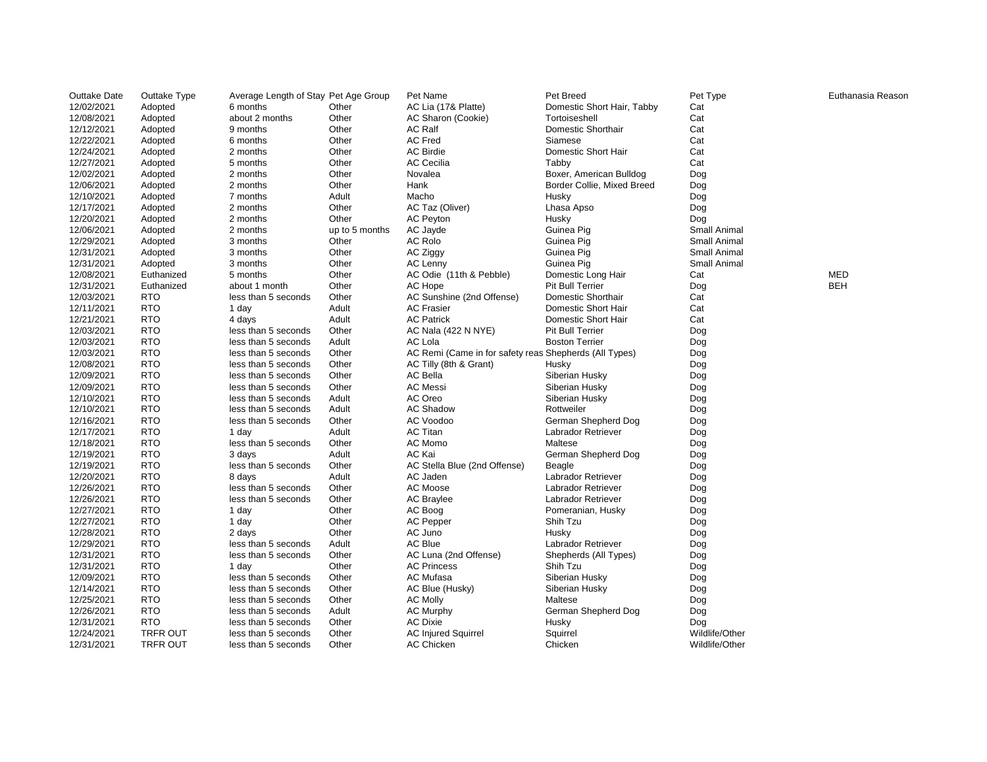| 12/02/2021<br>AC Lia (17& Platte)<br>Domestic Short Hair, Tabby<br>Adopted<br>6 months<br>Other<br>Cat<br>12/08/2021<br>about 2 months<br>Other<br>AC Sharon (Cookie)<br>Tortoiseshell<br>Cat<br>Adopted<br>Cat<br>12/12/2021<br>Other<br><b>AC Ralf</b><br><b>Domestic Shorthair</b><br>Adopted<br>9 months<br><b>AC Fred</b><br>12/22/2021<br>Other<br>Siamese<br>Cat<br>Adopted<br>6 months<br><b>AC Birdie</b><br>Domestic Short Hair<br>Cat<br>12/24/2021<br>Other<br>Adopted<br>2 months<br><b>AC Cecilia</b><br>Cat<br>12/27/2021<br>Other<br>Tabby<br>5 months<br>Adopted<br>12/02/2021<br>Boxer, American Bulldog<br>Other<br>Novalea<br>Dog<br>Adopted<br>2 months<br>12/06/2021<br>Other<br>Hank<br>Border Collie, Mixed Breed<br>Adopted<br>2 months<br>Dog<br>12/10/2021<br>Adult<br>Macho<br>Adopted<br>7 months<br><b>Husky</b><br>Dog<br>Other<br>12/17/2021<br>AC Taz (Oliver)<br>2 months<br>Lhasa Apso<br>Adopted<br>Dog<br>12/20/2021<br>Other<br><b>AC Peyton</b><br>Adopted<br>2 months<br><b>Husky</b><br>Dog<br>12/06/2021<br><b>Small Animal</b><br>up to 5 months<br>AC Jayde<br>Adopted<br>2 months<br>Guinea Pig<br>12/29/2021<br><b>AC Rolo</b><br>Other<br>Small Animal<br>Adopted<br>3 months<br>Guinea Pig<br>12/31/2021<br>Other<br>AC Ziggy<br>Small Animal<br>Adopted<br>3 months<br>Guinea Pig<br>Other<br>12/31/2021<br>Guinea Pig<br>Small Animal<br>Adopted<br>3 months<br><b>AC Lenny</b><br><b>MED</b><br>12/08/2021<br>Other<br>AC Odie (11th & Pebble)<br>Domestic Long Hair<br>Euthanized<br>5 months<br>Cat<br><b>BEH</b><br>12/31/2021<br>Other<br><b>Pit Bull Terrier</b><br>Euthanized<br>about 1 month<br>AC Hope<br>Dog<br><b>RTO</b><br>12/03/2021<br>Other<br>AC Sunshine (2nd Offense)<br>Domestic Shorthair<br>Cat<br>less than 5 seconds<br><b>RTO</b><br>Adult<br>Domestic Short Hair<br>12/11/2021<br><b>AC Frasier</b><br>Cat<br>1 day<br><b>RTO</b><br>12/21/2021<br>Adult<br><b>AC Patrick</b><br>Domestic Short Hair<br>Cat<br>4 days<br><b>RTO</b><br>Other<br>12/03/2021<br>less than 5 seconds<br><b>Pit Bull Terrier</b><br>AC Nala (422 N NYE)<br>Dog<br><b>RTO</b><br><b>AC Lola</b><br>12/03/2021<br>Adult<br><b>Boston Terrier</b><br>less than 5 seconds<br>Dog<br><b>RTO</b><br>12/03/2021<br>Other<br>AC Remi (Came in for safety reas Shepherds (All Types)<br>less than 5 seconds<br>Dog<br><b>RTO</b><br>12/08/2021<br>Other<br>less than 5 seconds<br>AC Tilly (8th & Grant)<br><b>Husky</b><br>Dog<br><b>RTO</b><br>12/09/2021<br><b>AC Bella</b><br>Other<br>Siberian Husky<br>less than 5 seconds<br>Dog<br><b>RTO</b><br>Other<br><b>AC Messi</b><br>12/09/2021<br>Siberian Husky<br>less than 5 seconds<br>Dog<br><b>RTO</b><br>Adult<br>AC Oreo<br>12/10/2021<br>Siberian Husky<br>less than 5 seconds<br>Dog<br><b>RTO</b><br>12/10/2021<br><b>AC Shadow</b><br>Adult<br>Rottweiler<br>less than 5 seconds<br>Dog<br>12/16/2021<br><b>RTO</b><br>Other<br>AC Voodoo<br>German Shepherd Dog<br>less than 5 seconds<br>Dog<br><b>RTO</b><br>Adult<br><b>AC Titan</b><br>12/17/2021<br>Labrador Retriever<br>1 day<br>Dog<br><b>RTO</b><br>AC Momo<br>12/18/2021<br>Other<br>Maltese<br>less than 5 seconds<br>Dog<br><b>RTO</b><br>AC Kai<br>12/19/2021<br>Adult<br>German Shepherd Dog<br>3 days<br>Dog<br>12/19/2021<br><b>RTO</b><br>less than 5 seconds<br>Other<br>AC Stella Blue (2nd Offense)<br><b>Beagle</b><br>Dog<br><b>RTO</b><br>12/20/2021<br>Adult<br>AC Jaden<br>8 days<br>Labrador Retriever<br>Dog<br><b>RTO</b><br><b>AC Moose</b><br>12/26/2021<br>Other<br>less than 5 seconds<br>Labrador Retriever<br>Dog<br><b>RTO</b><br>12/26/2021<br>Other<br><b>AC Braylee</b><br>Labrador Retriever<br>less than 5 seconds<br>Dog<br><b>RTO</b><br>12/27/2021<br>Other<br>AC Boog<br>Pomeranian, Husky<br>1 day<br>Dog<br><b>RTO</b><br><b>AC Pepper</b><br>12/27/2021<br>Other<br>Shih Tzu<br>1 day<br>Dog<br><b>RTO</b><br>12/28/2021<br>Other<br>AC Juno<br>Husky<br>2 days<br>Dog<br><b>RTO</b><br><b>AC Blue</b><br>12/29/2021<br>Adult<br>less than 5 seconds<br>Labrador Retriever<br>Dog<br><b>RTO</b><br>12/31/2021<br>Other<br>less than 5 seconds<br>AC Luna (2nd Offense)<br>Shepherds (All Types)<br>Dog<br><b>RTO</b><br>12/31/2021<br>Other<br><b>AC Princess</b><br>Shih Tzu<br>1 day<br>Dog<br><b>RTO</b><br>AC Mufasa<br>12/09/2021<br>Other<br>Siberian Husky<br>less than 5 seconds<br>Dog<br><b>RTO</b><br>12/14/2021<br>Other<br>AC Blue (Husky)<br>Siberian Husky<br>less than 5 seconds<br>Dog<br>12/25/2021<br><b>RTO</b><br>Other<br>Maltese<br>less than 5 seconds<br><b>AC Molly</b><br>Dog<br><b>RTO</b><br><b>AC Murphy</b><br>12/26/2021<br>Adult<br>German Shepherd Dog<br>less than 5 seconds<br>Dog<br><b>RTO</b><br><b>AC Dixie</b><br>12/31/2021<br>Other<br>less than 5 seconds<br><b>Husky</b><br>Dog<br>12/24/2021<br><b>TRFR OUT</b><br>Other<br>Wildlife/Other<br>less than 5 seconds<br><b>AC Injured Squirrel</b><br>Squirrel | <b>Outtake Date</b> | Outtake Type    | Average Length of Stay Pet Age Group |       | Pet Name          | Pet Breed | Pet Type       | Euth |
|------------------------------------------------------------------------------------------------------------------------------------------------------------------------------------------------------------------------------------------------------------------------------------------------------------------------------------------------------------------------------------------------------------------------------------------------------------------------------------------------------------------------------------------------------------------------------------------------------------------------------------------------------------------------------------------------------------------------------------------------------------------------------------------------------------------------------------------------------------------------------------------------------------------------------------------------------------------------------------------------------------------------------------------------------------------------------------------------------------------------------------------------------------------------------------------------------------------------------------------------------------------------------------------------------------------------------------------------------------------------------------------------------------------------------------------------------------------------------------------------------------------------------------------------------------------------------------------------------------------------------------------------------------------------------------------------------------------------------------------------------------------------------------------------------------------------------------------------------------------------------------------------------------------------------------------------------------------------------------------------------------------------------------------------------------------------------------------------------------------------------------------------------------------------------------------------------------------------------------------------------------------------------------------------------------------------------------------------------------------------------------------------------------------------------------------------------------------------------------------------------------------------------------------------------------------------------------------------------------------------------------------------------------------------------------------------------------------------------------------------------------------------------------------------------------------------------------------------------------------------------------------------------------------------------------------------------------------------------------------------------------------------------------------------------------------------------------------------------------------------------------------------------------------------------------------------------------------------------------------------------------------------------------------------------------------------------------------------------------------------------------------------------------------------------------------------------------------------------------------------------------------------------------------------------------------------------------------------------------------------------------------------------------------------------------------------------------------------------------------------------------------------------------------------------------------------------------------------------------------------------------------------------------------------------------------------------------------------------------------------------------------------------------------------------------------------------------------------------------------------------------------------------------------------------------------------------------------------------------------------------------------------------------------------------------------------------------------------------------------------------------------------------------------------------------------------------------------------------------------------------------------------------------------------------------------------------------------------------------------------------------------------------------------------------------------------------------------------------------------------------------------------------------------------------------------------------------------------------------------------------------------------------------------------------------------------------------------------|---------------------|-----------------|--------------------------------------|-------|-------------------|-----------|----------------|------|
|                                                                                                                                                                                                                                                                                                                                                                                                                                                                                                                                                                                                                                                                                                                                                                                                                                                                                                                                                                                                                                                                                                                                                                                                                                                                                                                                                                                                                                                                                                                                                                                                                                                                                                                                                                                                                                                                                                                                                                                                                                                                                                                                                                                                                                                                                                                                                                                                                                                                                                                                                                                                                                                                                                                                                                                                                                                                                                                                                                                                                                                                                                                                                                                                                                                                                                                                                                                                                                                                                                                                                                                                                                                                                                                                                                                                                                                                                                                                                                                                                                                                                                                                                                                                                                                                                                                                                                                                                                                                                                                                                                                                                                                                                                                                                                                                                                                                                                                                                                        |                     |                 |                                      |       |                   |           |                |      |
|                                                                                                                                                                                                                                                                                                                                                                                                                                                                                                                                                                                                                                                                                                                                                                                                                                                                                                                                                                                                                                                                                                                                                                                                                                                                                                                                                                                                                                                                                                                                                                                                                                                                                                                                                                                                                                                                                                                                                                                                                                                                                                                                                                                                                                                                                                                                                                                                                                                                                                                                                                                                                                                                                                                                                                                                                                                                                                                                                                                                                                                                                                                                                                                                                                                                                                                                                                                                                                                                                                                                                                                                                                                                                                                                                                                                                                                                                                                                                                                                                                                                                                                                                                                                                                                                                                                                                                                                                                                                                                                                                                                                                                                                                                                                                                                                                                                                                                                                                                        |                     |                 |                                      |       |                   |           |                |      |
|                                                                                                                                                                                                                                                                                                                                                                                                                                                                                                                                                                                                                                                                                                                                                                                                                                                                                                                                                                                                                                                                                                                                                                                                                                                                                                                                                                                                                                                                                                                                                                                                                                                                                                                                                                                                                                                                                                                                                                                                                                                                                                                                                                                                                                                                                                                                                                                                                                                                                                                                                                                                                                                                                                                                                                                                                                                                                                                                                                                                                                                                                                                                                                                                                                                                                                                                                                                                                                                                                                                                                                                                                                                                                                                                                                                                                                                                                                                                                                                                                                                                                                                                                                                                                                                                                                                                                                                                                                                                                                                                                                                                                                                                                                                                                                                                                                                                                                                                                                        |                     |                 |                                      |       |                   |           |                |      |
|                                                                                                                                                                                                                                                                                                                                                                                                                                                                                                                                                                                                                                                                                                                                                                                                                                                                                                                                                                                                                                                                                                                                                                                                                                                                                                                                                                                                                                                                                                                                                                                                                                                                                                                                                                                                                                                                                                                                                                                                                                                                                                                                                                                                                                                                                                                                                                                                                                                                                                                                                                                                                                                                                                                                                                                                                                                                                                                                                                                                                                                                                                                                                                                                                                                                                                                                                                                                                                                                                                                                                                                                                                                                                                                                                                                                                                                                                                                                                                                                                                                                                                                                                                                                                                                                                                                                                                                                                                                                                                                                                                                                                                                                                                                                                                                                                                                                                                                                                                        |                     |                 |                                      |       |                   |           |                |      |
|                                                                                                                                                                                                                                                                                                                                                                                                                                                                                                                                                                                                                                                                                                                                                                                                                                                                                                                                                                                                                                                                                                                                                                                                                                                                                                                                                                                                                                                                                                                                                                                                                                                                                                                                                                                                                                                                                                                                                                                                                                                                                                                                                                                                                                                                                                                                                                                                                                                                                                                                                                                                                                                                                                                                                                                                                                                                                                                                                                                                                                                                                                                                                                                                                                                                                                                                                                                                                                                                                                                                                                                                                                                                                                                                                                                                                                                                                                                                                                                                                                                                                                                                                                                                                                                                                                                                                                                                                                                                                                                                                                                                                                                                                                                                                                                                                                                                                                                                                                        |                     |                 |                                      |       |                   |           |                |      |
|                                                                                                                                                                                                                                                                                                                                                                                                                                                                                                                                                                                                                                                                                                                                                                                                                                                                                                                                                                                                                                                                                                                                                                                                                                                                                                                                                                                                                                                                                                                                                                                                                                                                                                                                                                                                                                                                                                                                                                                                                                                                                                                                                                                                                                                                                                                                                                                                                                                                                                                                                                                                                                                                                                                                                                                                                                                                                                                                                                                                                                                                                                                                                                                                                                                                                                                                                                                                                                                                                                                                                                                                                                                                                                                                                                                                                                                                                                                                                                                                                                                                                                                                                                                                                                                                                                                                                                                                                                                                                                                                                                                                                                                                                                                                                                                                                                                                                                                                                                        |                     |                 |                                      |       |                   |           |                |      |
|                                                                                                                                                                                                                                                                                                                                                                                                                                                                                                                                                                                                                                                                                                                                                                                                                                                                                                                                                                                                                                                                                                                                                                                                                                                                                                                                                                                                                                                                                                                                                                                                                                                                                                                                                                                                                                                                                                                                                                                                                                                                                                                                                                                                                                                                                                                                                                                                                                                                                                                                                                                                                                                                                                                                                                                                                                                                                                                                                                                                                                                                                                                                                                                                                                                                                                                                                                                                                                                                                                                                                                                                                                                                                                                                                                                                                                                                                                                                                                                                                                                                                                                                                                                                                                                                                                                                                                                                                                                                                                                                                                                                                                                                                                                                                                                                                                                                                                                                                                        |                     |                 |                                      |       |                   |           |                |      |
|                                                                                                                                                                                                                                                                                                                                                                                                                                                                                                                                                                                                                                                                                                                                                                                                                                                                                                                                                                                                                                                                                                                                                                                                                                                                                                                                                                                                                                                                                                                                                                                                                                                                                                                                                                                                                                                                                                                                                                                                                                                                                                                                                                                                                                                                                                                                                                                                                                                                                                                                                                                                                                                                                                                                                                                                                                                                                                                                                                                                                                                                                                                                                                                                                                                                                                                                                                                                                                                                                                                                                                                                                                                                                                                                                                                                                                                                                                                                                                                                                                                                                                                                                                                                                                                                                                                                                                                                                                                                                                                                                                                                                                                                                                                                                                                                                                                                                                                                                                        |                     |                 |                                      |       |                   |           |                |      |
|                                                                                                                                                                                                                                                                                                                                                                                                                                                                                                                                                                                                                                                                                                                                                                                                                                                                                                                                                                                                                                                                                                                                                                                                                                                                                                                                                                                                                                                                                                                                                                                                                                                                                                                                                                                                                                                                                                                                                                                                                                                                                                                                                                                                                                                                                                                                                                                                                                                                                                                                                                                                                                                                                                                                                                                                                                                                                                                                                                                                                                                                                                                                                                                                                                                                                                                                                                                                                                                                                                                                                                                                                                                                                                                                                                                                                                                                                                                                                                                                                                                                                                                                                                                                                                                                                                                                                                                                                                                                                                                                                                                                                                                                                                                                                                                                                                                                                                                                                                        |                     |                 |                                      |       |                   |           |                |      |
|                                                                                                                                                                                                                                                                                                                                                                                                                                                                                                                                                                                                                                                                                                                                                                                                                                                                                                                                                                                                                                                                                                                                                                                                                                                                                                                                                                                                                                                                                                                                                                                                                                                                                                                                                                                                                                                                                                                                                                                                                                                                                                                                                                                                                                                                                                                                                                                                                                                                                                                                                                                                                                                                                                                                                                                                                                                                                                                                                                                                                                                                                                                                                                                                                                                                                                                                                                                                                                                                                                                                                                                                                                                                                                                                                                                                                                                                                                                                                                                                                                                                                                                                                                                                                                                                                                                                                                                                                                                                                                                                                                                                                                                                                                                                                                                                                                                                                                                                                                        |                     |                 |                                      |       |                   |           |                |      |
|                                                                                                                                                                                                                                                                                                                                                                                                                                                                                                                                                                                                                                                                                                                                                                                                                                                                                                                                                                                                                                                                                                                                                                                                                                                                                                                                                                                                                                                                                                                                                                                                                                                                                                                                                                                                                                                                                                                                                                                                                                                                                                                                                                                                                                                                                                                                                                                                                                                                                                                                                                                                                                                                                                                                                                                                                                                                                                                                                                                                                                                                                                                                                                                                                                                                                                                                                                                                                                                                                                                                                                                                                                                                                                                                                                                                                                                                                                                                                                                                                                                                                                                                                                                                                                                                                                                                                                                                                                                                                                                                                                                                                                                                                                                                                                                                                                                                                                                                                                        |                     |                 |                                      |       |                   |           |                |      |
|                                                                                                                                                                                                                                                                                                                                                                                                                                                                                                                                                                                                                                                                                                                                                                                                                                                                                                                                                                                                                                                                                                                                                                                                                                                                                                                                                                                                                                                                                                                                                                                                                                                                                                                                                                                                                                                                                                                                                                                                                                                                                                                                                                                                                                                                                                                                                                                                                                                                                                                                                                                                                                                                                                                                                                                                                                                                                                                                                                                                                                                                                                                                                                                                                                                                                                                                                                                                                                                                                                                                                                                                                                                                                                                                                                                                                                                                                                                                                                                                                                                                                                                                                                                                                                                                                                                                                                                                                                                                                                                                                                                                                                                                                                                                                                                                                                                                                                                                                                        |                     |                 |                                      |       |                   |           |                |      |
|                                                                                                                                                                                                                                                                                                                                                                                                                                                                                                                                                                                                                                                                                                                                                                                                                                                                                                                                                                                                                                                                                                                                                                                                                                                                                                                                                                                                                                                                                                                                                                                                                                                                                                                                                                                                                                                                                                                                                                                                                                                                                                                                                                                                                                                                                                                                                                                                                                                                                                                                                                                                                                                                                                                                                                                                                                                                                                                                                                                                                                                                                                                                                                                                                                                                                                                                                                                                                                                                                                                                                                                                                                                                                                                                                                                                                                                                                                                                                                                                                                                                                                                                                                                                                                                                                                                                                                                                                                                                                                                                                                                                                                                                                                                                                                                                                                                                                                                                                                        |                     |                 |                                      |       |                   |           |                |      |
|                                                                                                                                                                                                                                                                                                                                                                                                                                                                                                                                                                                                                                                                                                                                                                                                                                                                                                                                                                                                                                                                                                                                                                                                                                                                                                                                                                                                                                                                                                                                                                                                                                                                                                                                                                                                                                                                                                                                                                                                                                                                                                                                                                                                                                                                                                                                                                                                                                                                                                                                                                                                                                                                                                                                                                                                                                                                                                                                                                                                                                                                                                                                                                                                                                                                                                                                                                                                                                                                                                                                                                                                                                                                                                                                                                                                                                                                                                                                                                                                                                                                                                                                                                                                                                                                                                                                                                                                                                                                                                                                                                                                                                                                                                                                                                                                                                                                                                                                                                        |                     |                 |                                      |       |                   |           |                |      |
|                                                                                                                                                                                                                                                                                                                                                                                                                                                                                                                                                                                                                                                                                                                                                                                                                                                                                                                                                                                                                                                                                                                                                                                                                                                                                                                                                                                                                                                                                                                                                                                                                                                                                                                                                                                                                                                                                                                                                                                                                                                                                                                                                                                                                                                                                                                                                                                                                                                                                                                                                                                                                                                                                                                                                                                                                                                                                                                                                                                                                                                                                                                                                                                                                                                                                                                                                                                                                                                                                                                                                                                                                                                                                                                                                                                                                                                                                                                                                                                                                                                                                                                                                                                                                                                                                                                                                                                                                                                                                                                                                                                                                                                                                                                                                                                                                                                                                                                                                                        |                     |                 |                                      |       |                   |           |                |      |
|                                                                                                                                                                                                                                                                                                                                                                                                                                                                                                                                                                                                                                                                                                                                                                                                                                                                                                                                                                                                                                                                                                                                                                                                                                                                                                                                                                                                                                                                                                                                                                                                                                                                                                                                                                                                                                                                                                                                                                                                                                                                                                                                                                                                                                                                                                                                                                                                                                                                                                                                                                                                                                                                                                                                                                                                                                                                                                                                                                                                                                                                                                                                                                                                                                                                                                                                                                                                                                                                                                                                                                                                                                                                                                                                                                                                                                                                                                                                                                                                                                                                                                                                                                                                                                                                                                                                                                                                                                                                                                                                                                                                                                                                                                                                                                                                                                                                                                                                                                        |                     |                 |                                      |       |                   |           |                |      |
|                                                                                                                                                                                                                                                                                                                                                                                                                                                                                                                                                                                                                                                                                                                                                                                                                                                                                                                                                                                                                                                                                                                                                                                                                                                                                                                                                                                                                                                                                                                                                                                                                                                                                                                                                                                                                                                                                                                                                                                                                                                                                                                                                                                                                                                                                                                                                                                                                                                                                                                                                                                                                                                                                                                                                                                                                                                                                                                                                                                                                                                                                                                                                                                                                                                                                                                                                                                                                                                                                                                                                                                                                                                                                                                                                                                                                                                                                                                                                                                                                                                                                                                                                                                                                                                                                                                                                                                                                                                                                                                                                                                                                                                                                                                                                                                                                                                                                                                                                                        |                     |                 |                                      |       |                   |           |                |      |
|                                                                                                                                                                                                                                                                                                                                                                                                                                                                                                                                                                                                                                                                                                                                                                                                                                                                                                                                                                                                                                                                                                                                                                                                                                                                                                                                                                                                                                                                                                                                                                                                                                                                                                                                                                                                                                                                                                                                                                                                                                                                                                                                                                                                                                                                                                                                                                                                                                                                                                                                                                                                                                                                                                                                                                                                                                                                                                                                                                                                                                                                                                                                                                                                                                                                                                                                                                                                                                                                                                                                                                                                                                                                                                                                                                                                                                                                                                                                                                                                                                                                                                                                                                                                                                                                                                                                                                                                                                                                                                                                                                                                                                                                                                                                                                                                                                                                                                                                                                        |                     |                 |                                      |       |                   |           |                |      |
|                                                                                                                                                                                                                                                                                                                                                                                                                                                                                                                                                                                                                                                                                                                                                                                                                                                                                                                                                                                                                                                                                                                                                                                                                                                                                                                                                                                                                                                                                                                                                                                                                                                                                                                                                                                                                                                                                                                                                                                                                                                                                                                                                                                                                                                                                                                                                                                                                                                                                                                                                                                                                                                                                                                                                                                                                                                                                                                                                                                                                                                                                                                                                                                                                                                                                                                                                                                                                                                                                                                                                                                                                                                                                                                                                                                                                                                                                                                                                                                                                                                                                                                                                                                                                                                                                                                                                                                                                                                                                                                                                                                                                                                                                                                                                                                                                                                                                                                                                                        |                     |                 |                                      |       |                   |           |                |      |
|                                                                                                                                                                                                                                                                                                                                                                                                                                                                                                                                                                                                                                                                                                                                                                                                                                                                                                                                                                                                                                                                                                                                                                                                                                                                                                                                                                                                                                                                                                                                                                                                                                                                                                                                                                                                                                                                                                                                                                                                                                                                                                                                                                                                                                                                                                                                                                                                                                                                                                                                                                                                                                                                                                                                                                                                                                                                                                                                                                                                                                                                                                                                                                                                                                                                                                                                                                                                                                                                                                                                                                                                                                                                                                                                                                                                                                                                                                                                                                                                                                                                                                                                                                                                                                                                                                                                                                                                                                                                                                                                                                                                                                                                                                                                                                                                                                                                                                                                                                        |                     |                 |                                      |       |                   |           |                |      |
|                                                                                                                                                                                                                                                                                                                                                                                                                                                                                                                                                                                                                                                                                                                                                                                                                                                                                                                                                                                                                                                                                                                                                                                                                                                                                                                                                                                                                                                                                                                                                                                                                                                                                                                                                                                                                                                                                                                                                                                                                                                                                                                                                                                                                                                                                                                                                                                                                                                                                                                                                                                                                                                                                                                                                                                                                                                                                                                                                                                                                                                                                                                                                                                                                                                                                                                                                                                                                                                                                                                                                                                                                                                                                                                                                                                                                                                                                                                                                                                                                                                                                                                                                                                                                                                                                                                                                                                                                                                                                                                                                                                                                                                                                                                                                                                                                                                                                                                                                                        |                     |                 |                                      |       |                   |           |                |      |
|                                                                                                                                                                                                                                                                                                                                                                                                                                                                                                                                                                                                                                                                                                                                                                                                                                                                                                                                                                                                                                                                                                                                                                                                                                                                                                                                                                                                                                                                                                                                                                                                                                                                                                                                                                                                                                                                                                                                                                                                                                                                                                                                                                                                                                                                                                                                                                                                                                                                                                                                                                                                                                                                                                                                                                                                                                                                                                                                                                                                                                                                                                                                                                                                                                                                                                                                                                                                                                                                                                                                                                                                                                                                                                                                                                                                                                                                                                                                                                                                                                                                                                                                                                                                                                                                                                                                                                                                                                                                                                                                                                                                                                                                                                                                                                                                                                                                                                                                                                        |                     |                 |                                      |       |                   |           |                |      |
|                                                                                                                                                                                                                                                                                                                                                                                                                                                                                                                                                                                                                                                                                                                                                                                                                                                                                                                                                                                                                                                                                                                                                                                                                                                                                                                                                                                                                                                                                                                                                                                                                                                                                                                                                                                                                                                                                                                                                                                                                                                                                                                                                                                                                                                                                                                                                                                                                                                                                                                                                                                                                                                                                                                                                                                                                                                                                                                                                                                                                                                                                                                                                                                                                                                                                                                                                                                                                                                                                                                                                                                                                                                                                                                                                                                                                                                                                                                                                                                                                                                                                                                                                                                                                                                                                                                                                                                                                                                                                                                                                                                                                                                                                                                                                                                                                                                                                                                                                                        |                     |                 |                                      |       |                   |           |                |      |
|                                                                                                                                                                                                                                                                                                                                                                                                                                                                                                                                                                                                                                                                                                                                                                                                                                                                                                                                                                                                                                                                                                                                                                                                                                                                                                                                                                                                                                                                                                                                                                                                                                                                                                                                                                                                                                                                                                                                                                                                                                                                                                                                                                                                                                                                                                                                                                                                                                                                                                                                                                                                                                                                                                                                                                                                                                                                                                                                                                                                                                                                                                                                                                                                                                                                                                                                                                                                                                                                                                                                                                                                                                                                                                                                                                                                                                                                                                                                                                                                                                                                                                                                                                                                                                                                                                                                                                                                                                                                                                                                                                                                                                                                                                                                                                                                                                                                                                                                                                        |                     |                 |                                      |       |                   |           |                |      |
|                                                                                                                                                                                                                                                                                                                                                                                                                                                                                                                                                                                                                                                                                                                                                                                                                                                                                                                                                                                                                                                                                                                                                                                                                                                                                                                                                                                                                                                                                                                                                                                                                                                                                                                                                                                                                                                                                                                                                                                                                                                                                                                                                                                                                                                                                                                                                                                                                                                                                                                                                                                                                                                                                                                                                                                                                                                                                                                                                                                                                                                                                                                                                                                                                                                                                                                                                                                                                                                                                                                                                                                                                                                                                                                                                                                                                                                                                                                                                                                                                                                                                                                                                                                                                                                                                                                                                                                                                                                                                                                                                                                                                                                                                                                                                                                                                                                                                                                                                                        |                     |                 |                                      |       |                   |           |                |      |
|                                                                                                                                                                                                                                                                                                                                                                                                                                                                                                                                                                                                                                                                                                                                                                                                                                                                                                                                                                                                                                                                                                                                                                                                                                                                                                                                                                                                                                                                                                                                                                                                                                                                                                                                                                                                                                                                                                                                                                                                                                                                                                                                                                                                                                                                                                                                                                                                                                                                                                                                                                                                                                                                                                                                                                                                                                                                                                                                                                                                                                                                                                                                                                                                                                                                                                                                                                                                                                                                                                                                                                                                                                                                                                                                                                                                                                                                                                                                                                                                                                                                                                                                                                                                                                                                                                                                                                                                                                                                                                                                                                                                                                                                                                                                                                                                                                                                                                                                                                        |                     |                 |                                      |       |                   |           |                |      |
|                                                                                                                                                                                                                                                                                                                                                                                                                                                                                                                                                                                                                                                                                                                                                                                                                                                                                                                                                                                                                                                                                                                                                                                                                                                                                                                                                                                                                                                                                                                                                                                                                                                                                                                                                                                                                                                                                                                                                                                                                                                                                                                                                                                                                                                                                                                                                                                                                                                                                                                                                                                                                                                                                                                                                                                                                                                                                                                                                                                                                                                                                                                                                                                                                                                                                                                                                                                                                                                                                                                                                                                                                                                                                                                                                                                                                                                                                                                                                                                                                                                                                                                                                                                                                                                                                                                                                                                                                                                                                                                                                                                                                                                                                                                                                                                                                                                                                                                                                                        |                     |                 |                                      |       |                   |           |                |      |
|                                                                                                                                                                                                                                                                                                                                                                                                                                                                                                                                                                                                                                                                                                                                                                                                                                                                                                                                                                                                                                                                                                                                                                                                                                                                                                                                                                                                                                                                                                                                                                                                                                                                                                                                                                                                                                                                                                                                                                                                                                                                                                                                                                                                                                                                                                                                                                                                                                                                                                                                                                                                                                                                                                                                                                                                                                                                                                                                                                                                                                                                                                                                                                                                                                                                                                                                                                                                                                                                                                                                                                                                                                                                                                                                                                                                                                                                                                                                                                                                                                                                                                                                                                                                                                                                                                                                                                                                                                                                                                                                                                                                                                                                                                                                                                                                                                                                                                                                                                        |                     |                 |                                      |       |                   |           |                |      |
|                                                                                                                                                                                                                                                                                                                                                                                                                                                                                                                                                                                                                                                                                                                                                                                                                                                                                                                                                                                                                                                                                                                                                                                                                                                                                                                                                                                                                                                                                                                                                                                                                                                                                                                                                                                                                                                                                                                                                                                                                                                                                                                                                                                                                                                                                                                                                                                                                                                                                                                                                                                                                                                                                                                                                                                                                                                                                                                                                                                                                                                                                                                                                                                                                                                                                                                                                                                                                                                                                                                                                                                                                                                                                                                                                                                                                                                                                                                                                                                                                                                                                                                                                                                                                                                                                                                                                                                                                                                                                                                                                                                                                                                                                                                                                                                                                                                                                                                                                                        |                     |                 |                                      |       |                   |           |                |      |
|                                                                                                                                                                                                                                                                                                                                                                                                                                                                                                                                                                                                                                                                                                                                                                                                                                                                                                                                                                                                                                                                                                                                                                                                                                                                                                                                                                                                                                                                                                                                                                                                                                                                                                                                                                                                                                                                                                                                                                                                                                                                                                                                                                                                                                                                                                                                                                                                                                                                                                                                                                                                                                                                                                                                                                                                                                                                                                                                                                                                                                                                                                                                                                                                                                                                                                                                                                                                                                                                                                                                                                                                                                                                                                                                                                                                                                                                                                                                                                                                                                                                                                                                                                                                                                                                                                                                                                                                                                                                                                                                                                                                                                                                                                                                                                                                                                                                                                                                                                        |                     |                 |                                      |       |                   |           |                |      |
|                                                                                                                                                                                                                                                                                                                                                                                                                                                                                                                                                                                                                                                                                                                                                                                                                                                                                                                                                                                                                                                                                                                                                                                                                                                                                                                                                                                                                                                                                                                                                                                                                                                                                                                                                                                                                                                                                                                                                                                                                                                                                                                                                                                                                                                                                                                                                                                                                                                                                                                                                                                                                                                                                                                                                                                                                                                                                                                                                                                                                                                                                                                                                                                                                                                                                                                                                                                                                                                                                                                                                                                                                                                                                                                                                                                                                                                                                                                                                                                                                                                                                                                                                                                                                                                                                                                                                                                                                                                                                                                                                                                                                                                                                                                                                                                                                                                                                                                                                                        |                     |                 |                                      |       |                   |           |                |      |
|                                                                                                                                                                                                                                                                                                                                                                                                                                                                                                                                                                                                                                                                                                                                                                                                                                                                                                                                                                                                                                                                                                                                                                                                                                                                                                                                                                                                                                                                                                                                                                                                                                                                                                                                                                                                                                                                                                                                                                                                                                                                                                                                                                                                                                                                                                                                                                                                                                                                                                                                                                                                                                                                                                                                                                                                                                                                                                                                                                                                                                                                                                                                                                                                                                                                                                                                                                                                                                                                                                                                                                                                                                                                                                                                                                                                                                                                                                                                                                                                                                                                                                                                                                                                                                                                                                                                                                                                                                                                                                                                                                                                                                                                                                                                                                                                                                                                                                                                                                        |                     |                 |                                      |       |                   |           |                |      |
|                                                                                                                                                                                                                                                                                                                                                                                                                                                                                                                                                                                                                                                                                                                                                                                                                                                                                                                                                                                                                                                                                                                                                                                                                                                                                                                                                                                                                                                                                                                                                                                                                                                                                                                                                                                                                                                                                                                                                                                                                                                                                                                                                                                                                                                                                                                                                                                                                                                                                                                                                                                                                                                                                                                                                                                                                                                                                                                                                                                                                                                                                                                                                                                                                                                                                                                                                                                                                                                                                                                                                                                                                                                                                                                                                                                                                                                                                                                                                                                                                                                                                                                                                                                                                                                                                                                                                                                                                                                                                                                                                                                                                                                                                                                                                                                                                                                                                                                                                                        |                     |                 |                                      |       |                   |           |                |      |
|                                                                                                                                                                                                                                                                                                                                                                                                                                                                                                                                                                                                                                                                                                                                                                                                                                                                                                                                                                                                                                                                                                                                                                                                                                                                                                                                                                                                                                                                                                                                                                                                                                                                                                                                                                                                                                                                                                                                                                                                                                                                                                                                                                                                                                                                                                                                                                                                                                                                                                                                                                                                                                                                                                                                                                                                                                                                                                                                                                                                                                                                                                                                                                                                                                                                                                                                                                                                                                                                                                                                                                                                                                                                                                                                                                                                                                                                                                                                                                                                                                                                                                                                                                                                                                                                                                                                                                                                                                                                                                                                                                                                                                                                                                                                                                                                                                                                                                                                                                        |                     |                 |                                      |       |                   |           |                |      |
|                                                                                                                                                                                                                                                                                                                                                                                                                                                                                                                                                                                                                                                                                                                                                                                                                                                                                                                                                                                                                                                                                                                                                                                                                                                                                                                                                                                                                                                                                                                                                                                                                                                                                                                                                                                                                                                                                                                                                                                                                                                                                                                                                                                                                                                                                                                                                                                                                                                                                                                                                                                                                                                                                                                                                                                                                                                                                                                                                                                                                                                                                                                                                                                                                                                                                                                                                                                                                                                                                                                                                                                                                                                                                                                                                                                                                                                                                                                                                                                                                                                                                                                                                                                                                                                                                                                                                                                                                                                                                                                                                                                                                                                                                                                                                                                                                                                                                                                                                                        |                     |                 |                                      |       |                   |           |                |      |
|                                                                                                                                                                                                                                                                                                                                                                                                                                                                                                                                                                                                                                                                                                                                                                                                                                                                                                                                                                                                                                                                                                                                                                                                                                                                                                                                                                                                                                                                                                                                                                                                                                                                                                                                                                                                                                                                                                                                                                                                                                                                                                                                                                                                                                                                                                                                                                                                                                                                                                                                                                                                                                                                                                                                                                                                                                                                                                                                                                                                                                                                                                                                                                                                                                                                                                                                                                                                                                                                                                                                                                                                                                                                                                                                                                                                                                                                                                                                                                                                                                                                                                                                                                                                                                                                                                                                                                                                                                                                                                                                                                                                                                                                                                                                                                                                                                                                                                                                                                        |                     |                 |                                      |       |                   |           |                |      |
|                                                                                                                                                                                                                                                                                                                                                                                                                                                                                                                                                                                                                                                                                                                                                                                                                                                                                                                                                                                                                                                                                                                                                                                                                                                                                                                                                                                                                                                                                                                                                                                                                                                                                                                                                                                                                                                                                                                                                                                                                                                                                                                                                                                                                                                                                                                                                                                                                                                                                                                                                                                                                                                                                                                                                                                                                                                                                                                                                                                                                                                                                                                                                                                                                                                                                                                                                                                                                                                                                                                                                                                                                                                                                                                                                                                                                                                                                                                                                                                                                                                                                                                                                                                                                                                                                                                                                                                                                                                                                                                                                                                                                                                                                                                                                                                                                                                                                                                                                                        |                     |                 |                                      |       |                   |           |                |      |
|                                                                                                                                                                                                                                                                                                                                                                                                                                                                                                                                                                                                                                                                                                                                                                                                                                                                                                                                                                                                                                                                                                                                                                                                                                                                                                                                                                                                                                                                                                                                                                                                                                                                                                                                                                                                                                                                                                                                                                                                                                                                                                                                                                                                                                                                                                                                                                                                                                                                                                                                                                                                                                                                                                                                                                                                                                                                                                                                                                                                                                                                                                                                                                                                                                                                                                                                                                                                                                                                                                                                                                                                                                                                                                                                                                                                                                                                                                                                                                                                                                                                                                                                                                                                                                                                                                                                                                                                                                                                                                                                                                                                                                                                                                                                                                                                                                                                                                                                                                        |                     |                 |                                      |       |                   |           |                |      |
|                                                                                                                                                                                                                                                                                                                                                                                                                                                                                                                                                                                                                                                                                                                                                                                                                                                                                                                                                                                                                                                                                                                                                                                                                                                                                                                                                                                                                                                                                                                                                                                                                                                                                                                                                                                                                                                                                                                                                                                                                                                                                                                                                                                                                                                                                                                                                                                                                                                                                                                                                                                                                                                                                                                                                                                                                                                                                                                                                                                                                                                                                                                                                                                                                                                                                                                                                                                                                                                                                                                                                                                                                                                                                                                                                                                                                                                                                                                                                                                                                                                                                                                                                                                                                                                                                                                                                                                                                                                                                                                                                                                                                                                                                                                                                                                                                                                                                                                                                                        |                     |                 |                                      |       |                   |           |                |      |
|                                                                                                                                                                                                                                                                                                                                                                                                                                                                                                                                                                                                                                                                                                                                                                                                                                                                                                                                                                                                                                                                                                                                                                                                                                                                                                                                                                                                                                                                                                                                                                                                                                                                                                                                                                                                                                                                                                                                                                                                                                                                                                                                                                                                                                                                                                                                                                                                                                                                                                                                                                                                                                                                                                                                                                                                                                                                                                                                                                                                                                                                                                                                                                                                                                                                                                                                                                                                                                                                                                                                                                                                                                                                                                                                                                                                                                                                                                                                                                                                                                                                                                                                                                                                                                                                                                                                                                                                                                                                                                                                                                                                                                                                                                                                                                                                                                                                                                                                                                        |                     |                 |                                      |       |                   |           |                |      |
|                                                                                                                                                                                                                                                                                                                                                                                                                                                                                                                                                                                                                                                                                                                                                                                                                                                                                                                                                                                                                                                                                                                                                                                                                                                                                                                                                                                                                                                                                                                                                                                                                                                                                                                                                                                                                                                                                                                                                                                                                                                                                                                                                                                                                                                                                                                                                                                                                                                                                                                                                                                                                                                                                                                                                                                                                                                                                                                                                                                                                                                                                                                                                                                                                                                                                                                                                                                                                                                                                                                                                                                                                                                                                                                                                                                                                                                                                                                                                                                                                                                                                                                                                                                                                                                                                                                                                                                                                                                                                                                                                                                                                                                                                                                                                                                                                                                                                                                                                                        |                     |                 |                                      |       |                   |           |                |      |
|                                                                                                                                                                                                                                                                                                                                                                                                                                                                                                                                                                                                                                                                                                                                                                                                                                                                                                                                                                                                                                                                                                                                                                                                                                                                                                                                                                                                                                                                                                                                                                                                                                                                                                                                                                                                                                                                                                                                                                                                                                                                                                                                                                                                                                                                                                                                                                                                                                                                                                                                                                                                                                                                                                                                                                                                                                                                                                                                                                                                                                                                                                                                                                                                                                                                                                                                                                                                                                                                                                                                                                                                                                                                                                                                                                                                                                                                                                                                                                                                                                                                                                                                                                                                                                                                                                                                                                                                                                                                                                                                                                                                                                                                                                                                                                                                                                                                                                                                                                        |                     |                 |                                      |       |                   |           |                |      |
|                                                                                                                                                                                                                                                                                                                                                                                                                                                                                                                                                                                                                                                                                                                                                                                                                                                                                                                                                                                                                                                                                                                                                                                                                                                                                                                                                                                                                                                                                                                                                                                                                                                                                                                                                                                                                                                                                                                                                                                                                                                                                                                                                                                                                                                                                                                                                                                                                                                                                                                                                                                                                                                                                                                                                                                                                                                                                                                                                                                                                                                                                                                                                                                                                                                                                                                                                                                                                                                                                                                                                                                                                                                                                                                                                                                                                                                                                                                                                                                                                                                                                                                                                                                                                                                                                                                                                                                                                                                                                                                                                                                                                                                                                                                                                                                                                                                                                                                                                                        |                     |                 |                                      |       |                   |           |                |      |
|                                                                                                                                                                                                                                                                                                                                                                                                                                                                                                                                                                                                                                                                                                                                                                                                                                                                                                                                                                                                                                                                                                                                                                                                                                                                                                                                                                                                                                                                                                                                                                                                                                                                                                                                                                                                                                                                                                                                                                                                                                                                                                                                                                                                                                                                                                                                                                                                                                                                                                                                                                                                                                                                                                                                                                                                                                                                                                                                                                                                                                                                                                                                                                                                                                                                                                                                                                                                                                                                                                                                                                                                                                                                                                                                                                                                                                                                                                                                                                                                                                                                                                                                                                                                                                                                                                                                                                                                                                                                                                                                                                                                                                                                                                                                                                                                                                                                                                                                                                        |                     |                 |                                      |       |                   |           |                |      |
|                                                                                                                                                                                                                                                                                                                                                                                                                                                                                                                                                                                                                                                                                                                                                                                                                                                                                                                                                                                                                                                                                                                                                                                                                                                                                                                                                                                                                                                                                                                                                                                                                                                                                                                                                                                                                                                                                                                                                                                                                                                                                                                                                                                                                                                                                                                                                                                                                                                                                                                                                                                                                                                                                                                                                                                                                                                                                                                                                                                                                                                                                                                                                                                                                                                                                                                                                                                                                                                                                                                                                                                                                                                                                                                                                                                                                                                                                                                                                                                                                                                                                                                                                                                                                                                                                                                                                                                                                                                                                                                                                                                                                                                                                                                                                                                                                                                                                                                                                                        |                     |                 |                                      |       |                   |           |                |      |
|                                                                                                                                                                                                                                                                                                                                                                                                                                                                                                                                                                                                                                                                                                                                                                                                                                                                                                                                                                                                                                                                                                                                                                                                                                                                                                                                                                                                                                                                                                                                                                                                                                                                                                                                                                                                                                                                                                                                                                                                                                                                                                                                                                                                                                                                                                                                                                                                                                                                                                                                                                                                                                                                                                                                                                                                                                                                                                                                                                                                                                                                                                                                                                                                                                                                                                                                                                                                                                                                                                                                                                                                                                                                                                                                                                                                                                                                                                                                                                                                                                                                                                                                                                                                                                                                                                                                                                                                                                                                                                                                                                                                                                                                                                                                                                                                                                                                                                                                                                        |                     |                 |                                      |       |                   |           |                |      |
|                                                                                                                                                                                                                                                                                                                                                                                                                                                                                                                                                                                                                                                                                                                                                                                                                                                                                                                                                                                                                                                                                                                                                                                                                                                                                                                                                                                                                                                                                                                                                                                                                                                                                                                                                                                                                                                                                                                                                                                                                                                                                                                                                                                                                                                                                                                                                                                                                                                                                                                                                                                                                                                                                                                                                                                                                                                                                                                                                                                                                                                                                                                                                                                                                                                                                                                                                                                                                                                                                                                                                                                                                                                                                                                                                                                                                                                                                                                                                                                                                                                                                                                                                                                                                                                                                                                                                                                                                                                                                                                                                                                                                                                                                                                                                                                                                                                                                                                                                                        |                     |                 |                                      |       |                   |           |                |      |
|                                                                                                                                                                                                                                                                                                                                                                                                                                                                                                                                                                                                                                                                                                                                                                                                                                                                                                                                                                                                                                                                                                                                                                                                                                                                                                                                                                                                                                                                                                                                                                                                                                                                                                                                                                                                                                                                                                                                                                                                                                                                                                                                                                                                                                                                                                                                                                                                                                                                                                                                                                                                                                                                                                                                                                                                                                                                                                                                                                                                                                                                                                                                                                                                                                                                                                                                                                                                                                                                                                                                                                                                                                                                                                                                                                                                                                                                                                                                                                                                                                                                                                                                                                                                                                                                                                                                                                                                                                                                                                                                                                                                                                                                                                                                                                                                                                                                                                                                                                        |                     |                 |                                      |       |                   |           |                |      |
|                                                                                                                                                                                                                                                                                                                                                                                                                                                                                                                                                                                                                                                                                                                                                                                                                                                                                                                                                                                                                                                                                                                                                                                                                                                                                                                                                                                                                                                                                                                                                                                                                                                                                                                                                                                                                                                                                                                                                                                                                                                                                                                                                                                                                                                                                                                                                                                                                                                                                                                                                                                                                                                                                                                                                                                                                                                                                                                                                                                                                                                                                                                                                                                                                                                                                                                                                                                                                                                                                                                                                                                                                                                                                                                                                                                                                                                                                                                                                                                                                                                                                                                                                                                                                                                                                                                                                                                                                                                                                                                                                                                                                                                                                                                                                                                                                                                                                                                                                                        | 12/31/2021          | <b>TRFR OUT</b> | less than 5 seconds                  | Other | <b>AC Chicken</b> | Chicken   | Wildlife/Other |      |

## Euthanasia Reason

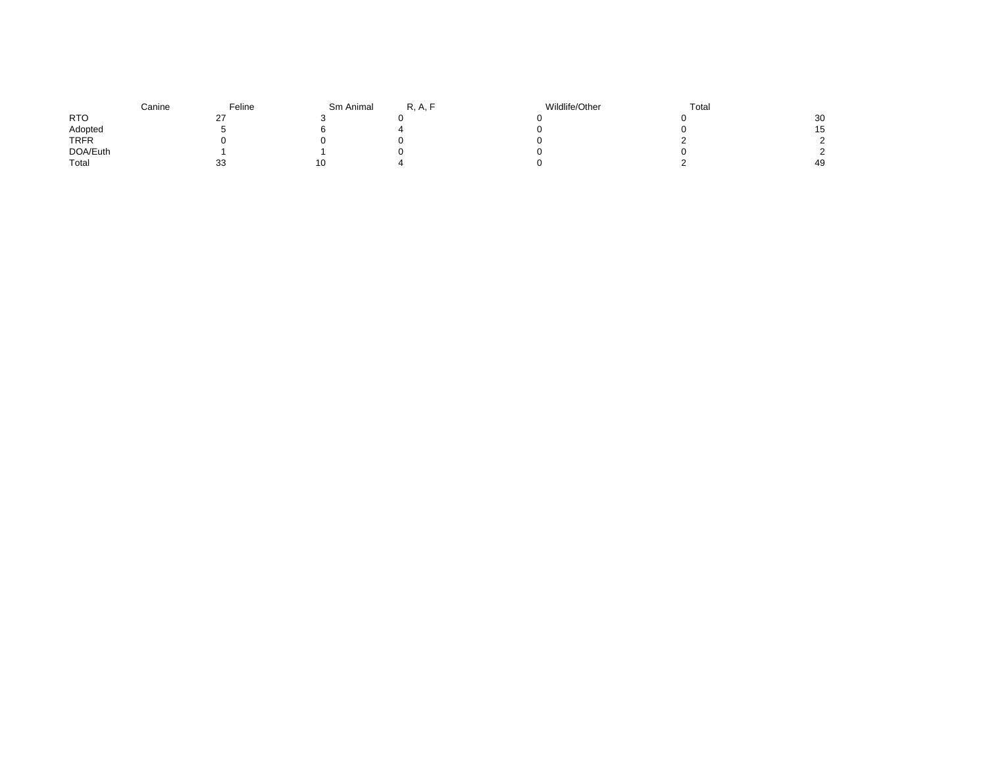|             | Canine | Feline | Sm Animal | R, A, | Wildlife/Other | Total |           |
|-------------|--------|--------|-----------|-------|----------------|-------|-----------|
| <b>RTO</b>  |        | ^7     |           |       |                |       | 30        |
| Adopted     |        |        |           |       |                |       | 15<br>ں ا |
| <b>TRFR</b> |        |        |           |       |                |       |           |
| DOA/Euth    |        |        |           |       |                |       |           |
| Total       |        | 33     | 1 C       |       |                |       | 49        |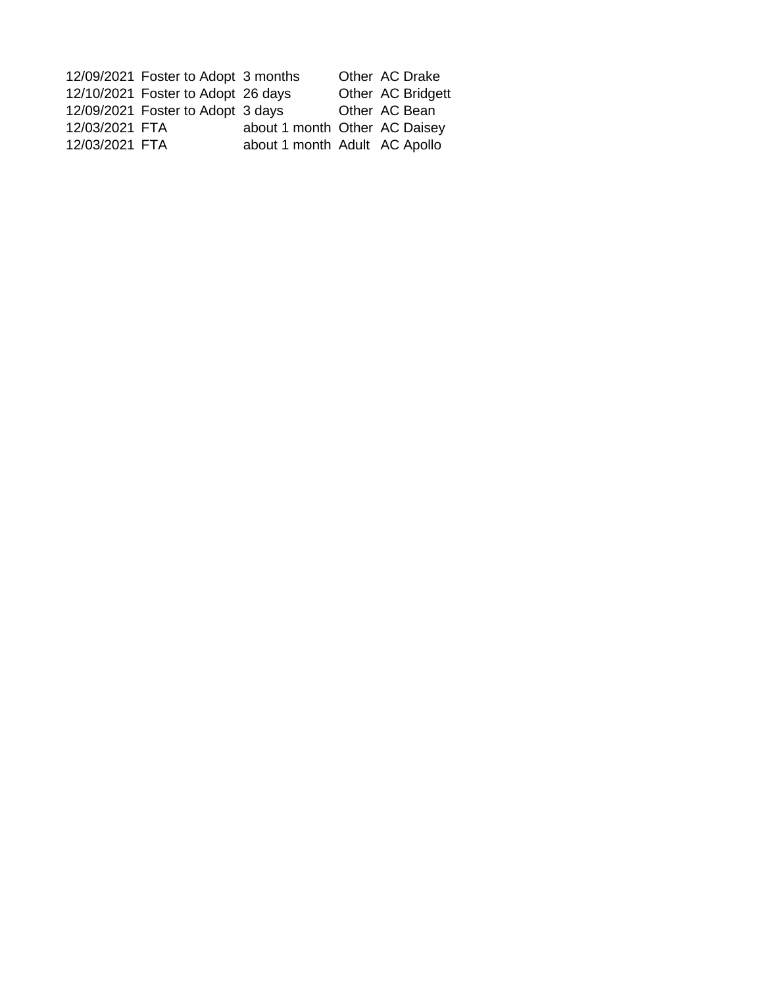|                                  |                                                                                                                | Other AC Drake                                                 |
|----------------------------------|----------------------------------------------------------------------------------------------------------------|----------------------------------------------------------------|
|                                  |                                                                                                                | Other AC Bridgett                                              |
|                                  |                                                                                                                | Other AC Bean                                                  |
|                                  |                                                                                                                |                                                                |
|                                  |                                                                                                                |                                                                |
| 12/03/2021 FTA<br>12/03/2021 FTA | 12/09/2021 Foster to Adopt 3 months<br>12/10/2021 Foster to Adopt 26 days<br>12/09/2021 Foster to Adopt 3 days | about 1 month Other AC Daisey<br>about 1 month Adult AC Apollo |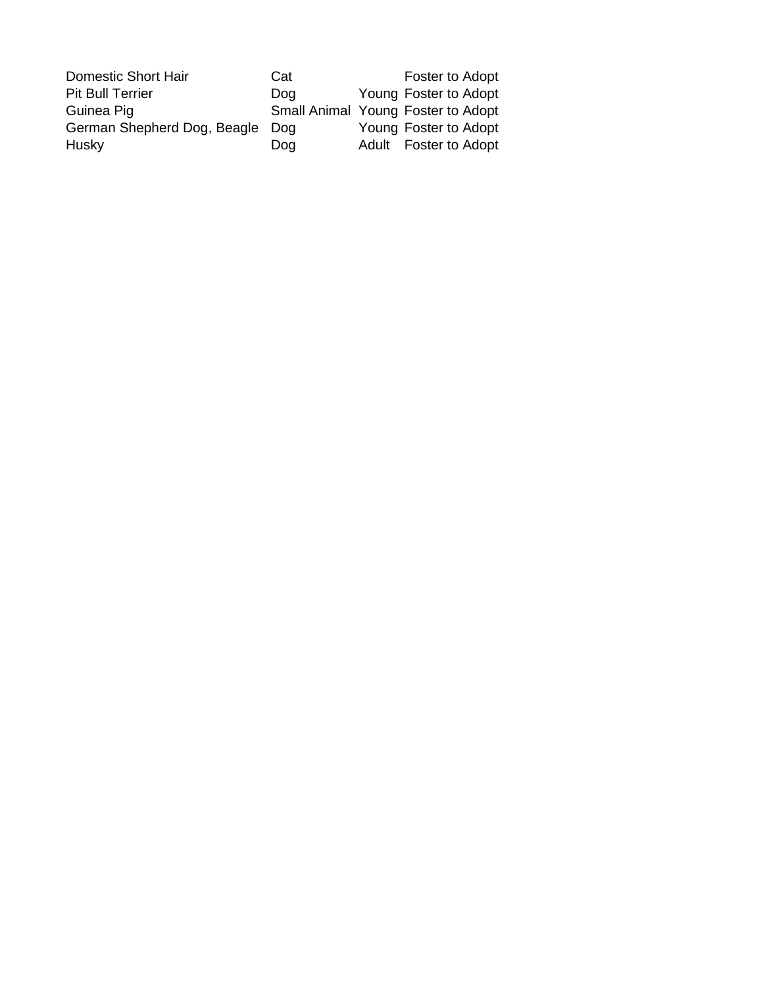| Domestic Short Hair             | Cat | Foster to Adopt                    |
|---------------------------------|-----|------------------------------------|
| <b>Pit Bull Terrier</b>         | Dog | Young Foster to Adopt              |
| Guinea Pig                      |     | Small Animal Young Foster to Adopt |
| German Shepherd Dog, Beagle Dog |     | Young Foster to Adopt              |
| Husky                           | Dog | Adult Foster to Adopt              |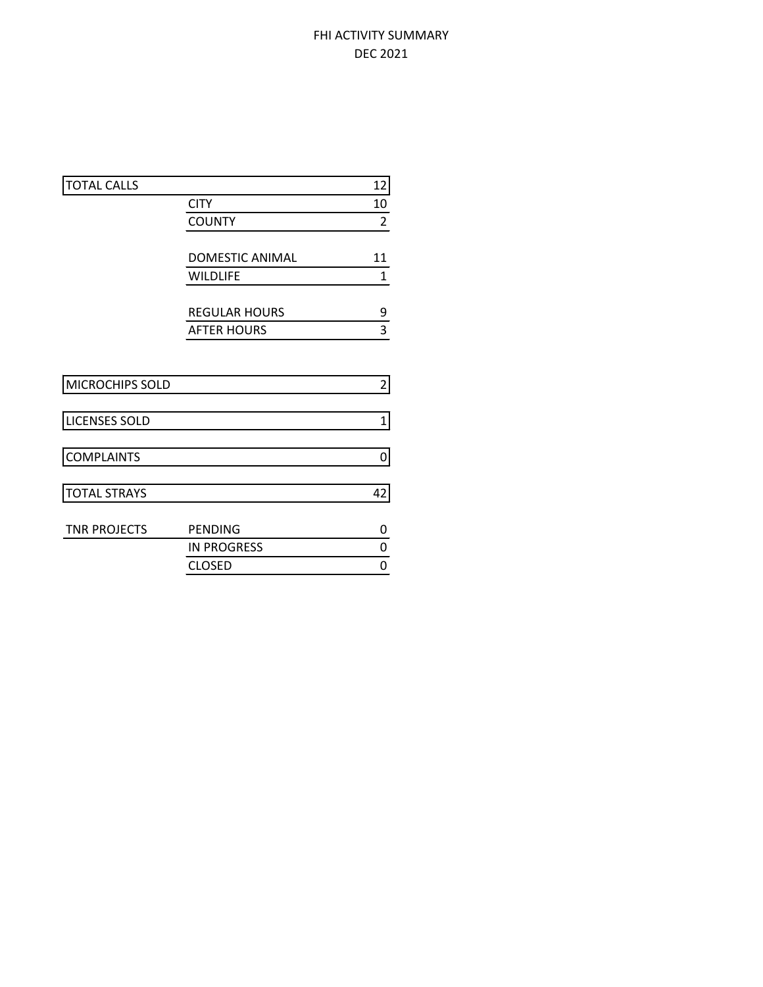## FHI ACTIVITY SUMMARY DEC 2021

|                        | 12                   |
|------------------------|----------------------|
| <b>CITY</b>            | 10                   |
| <b>COUNTY</b>          | $\overline{2}$       |
|                        |                      |
| <b>DOMESTIC ANIMAL</b> | 11                   |
| <b>WILDLIFE</b>        | 1                    |
|                        | 9                    |
| <b>AFTER HOURS</b>     | 3                    |
|                        |                      |
|                        | $\overline{2}$       |
|                        | 1                    |
|                        |                      |
|                        | 0                    |
|                        | 42                   |
|                        |                      |
| <b>PENDING</b>         | 0                    |
| <b>IN PROGRESS</b>     | 0                    |
| <b>CLOSED</b>          | 0                    |
|                        | <b>REGULAR HOURS</b> |